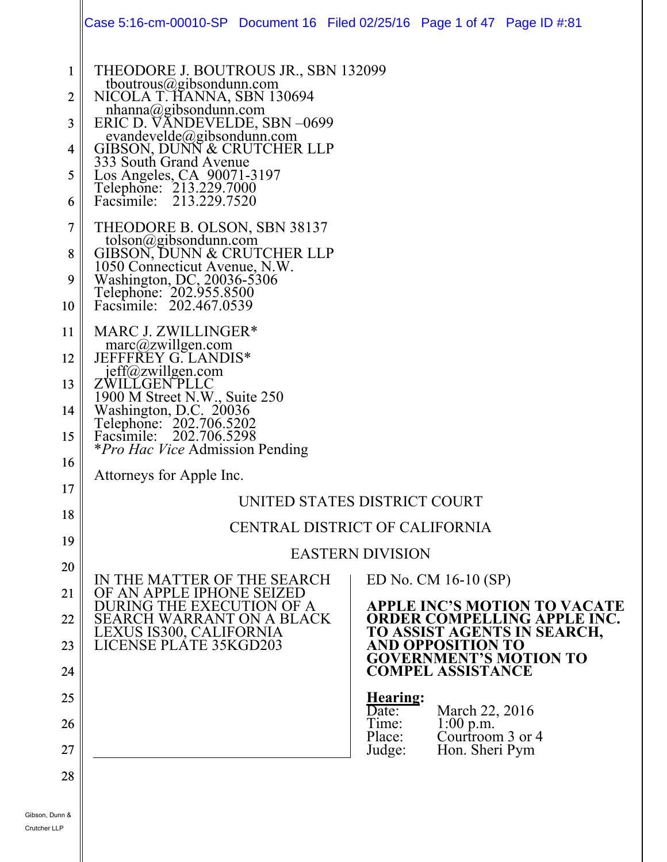|                            | Case 5:16-cm-00010-SP Document 16 Filed 02/25/16 Page 1 of 47 Page ID #:81                                                                                                                                                                                      |                                                                                       |
|----------------------------|-----------------------------------------------------------------------------------------------------------------------------------------------------------------------------------------------------------------------------------------------------------------|---------------------------------------------------------------------------------------|
| 1<br>2<br>3                | THEODORE J. BOUTROUS JR., SBN 132099<br>tboutrous@gibsondunn.com<br>NICOLA T. HANNA, SBN 130694<br>nhanna@gibsondunn.com<br>ERIC D. VĂNDEVELDE, SBN -0699<br>evandevelde@gibsondunn.com                                                                         |                                                                                       |
| 4<br>5<br>6                | GIBSON, DUNN & CRUTCHER LLP<br>333 South Grand Avenue<br>Los Angeles, CA 90071-3197<br>Telephone: 213.229.7000<br>Facsimile: 213.229.7520                                                                                                                       |                                                                                       |
| 7<br>8<br>9<br>10          | THEODORE B. OLSON, SBN 38137<br>tolson@gibsondunn.com<br>GIBSON, DUNN & CRUTCHER LLP<br>1050 Connecticut Avenue, N.W.<br>Washington, DC, 20036-5306<br>Telephone: 202.955.8500<br>Facsimile: 202.467.0539                                                       |                                                                                       |
| 11<br>12<br>13<br>14<br>15 | MARC J. ZWILLINGER*<br>marc@zwillgen.com<br>JEFFFREY G. LANDIS*<br>jeff@zwillgen.com<br>ZWILLGENPLLC<br>1900 M Street N.W., Suite 250<br>Washington, D.C. 20036<br>Telephone: 202.706.5202<br>Facsimile: 202.706.5298<br><i>*Pro Hac Vice Admission Pending</i> |                                                                                       |
| 16<br>17                   | Attorneys for Apple Inc.                                                                                                                                                                                                                                        |                                                                                       |
| 18                         |                                                                                                                                                                                                                                                                 | UNITED STATES DISTRICT COURT                                                          |
| 19                         |                                                                                                                                                                                                                                                                 | CENTRAL DISTRICT OF CALIFORNIA                                                        |
| 20                         | IN THE MATTER OF THE SEARCH                                                                                                                                                                                                                                     | <b>EASTERN DIVISION</b><br>ED No. CM 16-10 (SP)                                       |
| 21                         | OF AN APPLE IPHONE SEIZED<br>DURING THE EXECUTION OF A                                                                                                                                                                                                          | <b>APPLE INC'S MOTION TO VACATE</b>                                                   |
| 22                         | <b>SEARCH WARRANT ON A BLACK</b><br>LEXUS IS300, CALIFORNIA                                                                                                                                                                                                     | ORDER COMPELLING APPLE INC.<br>TO ASSIST AGENTS IN SEARCH,                            |
| 23<br>24                   | LICENSE PLÁTE 35KGD203                                                                                                                                                                                                                                          | <b>AND OPPOSITION TO</b><br><b>GOVERNMENT'S MOTION TO</b><br><b>COMPEL ASSISTANCE</b> |
| 25                         |                                                                                                                                                                                                                                                                 | Hearing:                                                                              |
| 26                         |                                                                                                                                                                                                                                                                 | Date:<br>March 22, 2016<br>Time:<br>$1:00$ p.m.                                       |
| 27                         |                                                                                                                                                                                                                                                                 | Place:<br>Courtroom 3 or 4<br>Judge:<br>Hon. Sheri Pym                                |
| 28                         |                                                                                                                                                                                                                                                                 |                                                                                       |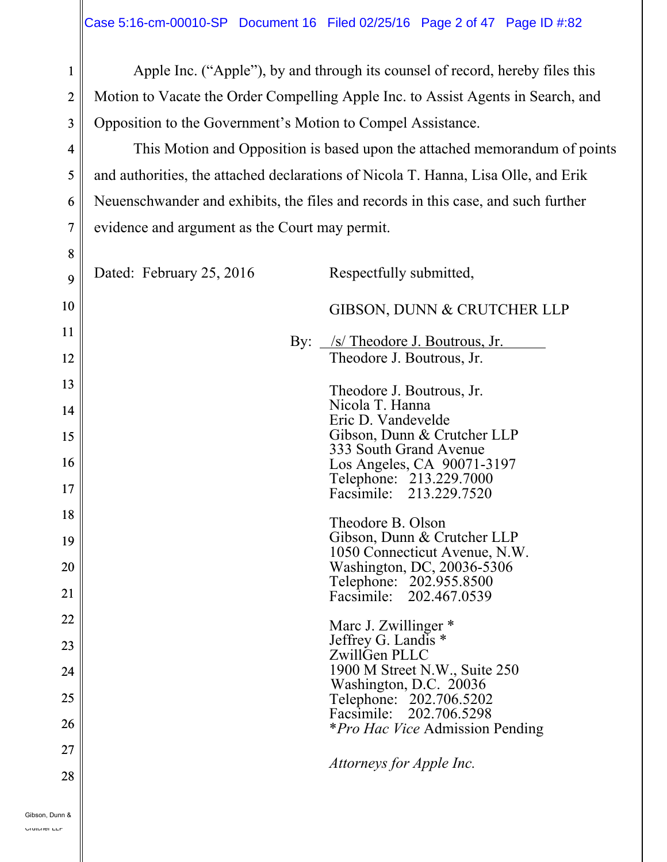Apple Inc. ("Apple"), by and through its counsel of record, hereby files this Motion to Vacate the Order Compelling Apple Inc. to Assist Agents in Search, and Opposition to the Government's Motion to Compel Assistance.

This Motion and Opposition is based upon the attached memorandum of points and authorities, the attached declarations of Nicola T. Hanna, Lisa Olle, and Erik Neuenschwander and exhibits, the files and records in this case, and such further evidence and argument as the Court may permit.

|                          | Respectfully submitted,                                           |
|--------------------------|-------------------------------------------------------------------|
|                          | GIBSON, DUNN & CRUTCHER LLP                                       |
|                          |                                                                   |
|                          | <u>/s/ Theodore J. Boutrous, Jr.</u><br>Theodore J. Boutrous, Jr. |
|                          | Theodore J. Boutrous, Jr.                                         |
|                          | Nicola T. Hanna                                                   |
|                          | Eric D. Vandevelde<br>Gibson, Dunn & Crutcher LLP                 |
|                          | 333 South Grand Avenue<br>Los Angeles, CA 90071-3197              |
|                          | Telephone: 213.229.7000<br>Facsimile: 213.229.7520                |
|                          | Theodore B. Olson                                                 |
|                          | Gibson, Dunn & Crutcher LLP                                       |
|                          | 1050 Connecticut Avenue, N.W.<br>Washington, DC, 20036-5306       |
|                          | Telephone: 202.955.8500<br>Facsimile: 202.467.0539                |
|                          | Marc J. Zwillinger *                                              |
|                          | Jeffrey G. Landis *<br>ZwillGen PLLC                              |
|                          | 1900 M Street N.W., Suite 250                                     |
|                          | Washington, D.C. 20036<br>Telephone: 202.706.5202                 |
|                          | Facsimile: 202.706.5298<br><i>*Pro Hac Vice Admission Pending</i> |
|                          |                                                                   |
|                          | Attorneys for Apple Inc.                                          |
| Dated: February 25, 2016 | By:                                                               |

1

2

3

4

5

6

7

 $\overline{8}$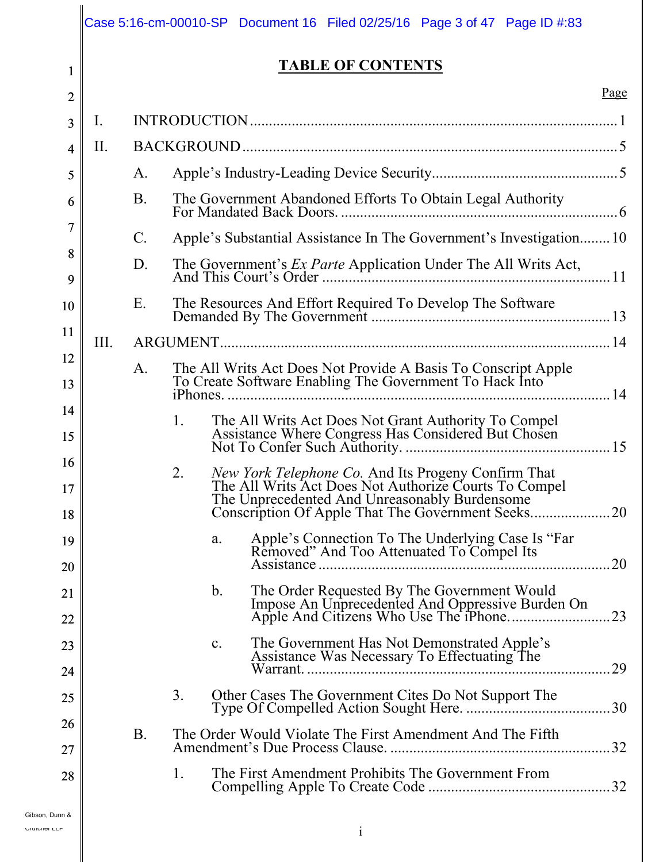| 1              |                |                 |    | <b>TABLE OF CONTENTS</b>                                                                                                                                      |      |
|----------------|----------------|-----------------|----|---------------------------------------------------------------------------------------------------------------------------------------------------------------|------|
| $\overline{2}$ |                |                 |    |                                                                                                                                                               | Page |
| 3              | $\mathbf{I}$ . |                 |    |                                                                                                                                                               |      |
| $\overline{4}$ | II.            |                 |    |                                                                                                                                                               |      |
| 5              |                | A.              |    |                                                                                                                                                               |      |
| 6              |                | <b>B</b> .      |    | The Government Abandoned Efforts To Obtain Legal Authority                                                                                                    |      |
| 7              |                | $\mathcal{C}$ . |    | Apple's Substantial Assistance In The Government's Investigation 10                                                                                           |      |
| 8<br>9         |                | D.              |    | The Government's <i>Ex Parte</i> Application Under The All Writs Act,                                                                                         |      |
| 10             |                | Ε.              |    |                                                                                                                                                               |      |
| 11             | III.           |                 |    |                                                                                                                                                               |      |
| 12<br>13       |                | A.              |    | The All Writs Act Does Not Provide A Basis To Conscript Apple<br>To Create Software Enabling The Government To Hack Into                                      |      |
| 14<br>15       |                |                 | 1. | The All Writs Act Does Not Grant Authority To Compel<br>Assistance Where Congress Has Considered But Chosen                                                   |      |
| 16<br>17<br>18 |                |                 | 2. | New York Telephone Co. And Its Progeny Confirm That<br>The All Writs Act Does Not Authorize Courts To Compel<br>The Unprecedented And Unreasonably Burdensome |      |
| 19<br>20       |                |                 |    | Apple's Connection To The Underlying Case Is "Far<br>a.<br>Removed" And Too Attenuated To Compel Its                                                          |      |
| 21<br>22       |                |                 |    | $\mathbf b$ .<br>The Order Requested By The Government Would                                                                                                  |      |
| 23<br>24       |                |                 |    | The Government Has Not Demonstrated Apple's<br>$\mathbf{c}$ .<br>Assistance Was Necessary To Effectuating The                                                 |      |
| 25             |                |                 | 3. | Other Cases The Government Cites Do Not Support The                                                                                                           |      |
| 26<br>27       |                | <b>B.</b>       |    | The Order Would Violate The First Amendment And The Fifth                                                                                                     |      |
| 28             |                |                 | 1. | The First Amendment Prohibits The Government From                                                                                                             |      |

║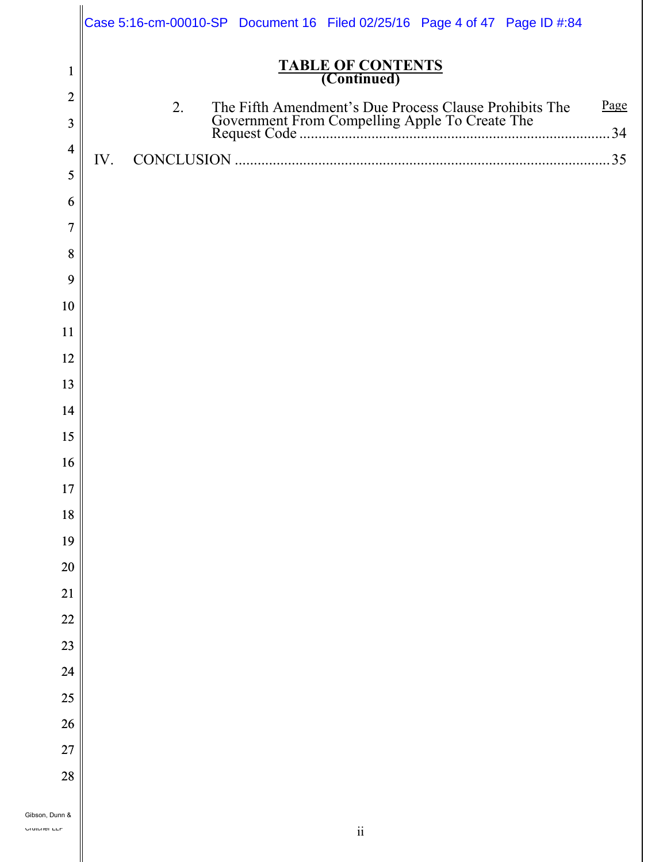|                         |     | Case 5:16-cm-00010-SP Document 16 Filed 02/25/16 Page 4 of 47 Page ID #:84 |
|-------------------------|-----|----------------------------------------------------------------------------|
| $\mathbf{1}$            |     | <b>TABLE OF CONTENTS</b><br>(Continued)                                    |
| $\overline{2}$          |     | Page<br>2.<br>The Fifth Amendment's Due Process Clause Prohibits The       |
| 3                       |     |                                                                            |
| $\overline{\mathbf{4}}$ | IV. | .35                                                                        |
| 5                       |     |                                                                            |
| 6                       |     |                                                                            |
| $\overline{7}$          |     |                                                                            |
| 8                       |     |                                                                            |
| 9                       |     |                                                                            |
| 10                      |     |                                                                            |
| 11                      |     |                                                                            |
| 12                      |     |                                                                            |
| 13                      |     |                                                                            |
| 14                      |     |                                                                            |
| 15                      |     |                                                                            |
| 16                      |     |                                                                            |
| 17                      |     |                                                                            |
| 18                      |     |                                                                            |
| 19                      |     |                                                                            |
| 20                      |     |                                                                            |
| 21                      |     |                                                                            |
| $22\,$                  |     |                                                                            |
| 23                      |     |                                                                            |
| 24                      |     |                                                                            |
| 25                      |     |                                                                            |
| 26<br>27                |     |                                                                            |
| 28                      |     |                                                                            |
|                         |     |                                                                            |
| Junn &                  |     |                                                                            |

 $\parallel$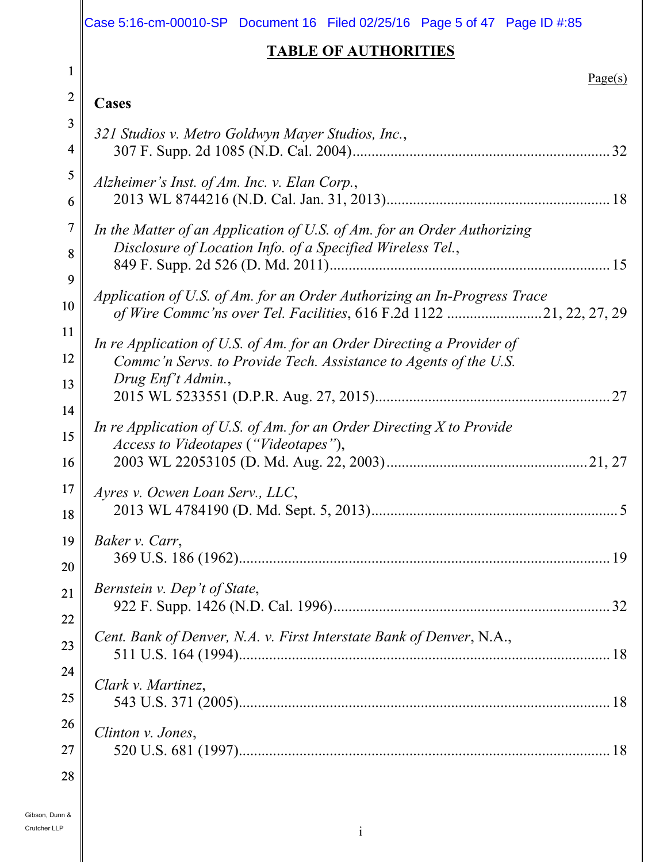|          | Case 5:16-cm-00010-SP Document 16 Filed 02/25/16 Page 5 of 47 Page ID #:85                                                                      |
|----------|-------------------------------------------------------------------------------------------------------------------------------------------------|
|          | <b>TABLE OF AUTHORITIES</b>                                                                                                                     |
|          | Page(s)                                                                                                                                         |
| 2        | Cases                                                                                                                                           |
| 3        | 321 Studios v. Metro Goldwyn Mayer Studios, Inc.,                                                                                               |
| 4        | 32                                                                                                                                              |
| 5<br>6   | Alzheimer's Inst. of Am. Inc. v. Elan Corp.,                                                                                                    |
| 7<br>8   | In the Matter of an Application of U.S. of Am. for an Order Authorizing<br>Disclosure of Location Info. of a Specified Wireless Tel.,           |
| 9        | 15                                                                                                                                              |
| 10       | Application of U.S. of Am. for an Order Authorizing an In-Progress Trace<br>of Wire Commc'ns over Tel. Facilities, 616 F.2d 1122 21, 22, 27, 29 |
| 11<br>12 | In re Application of U.S. of Am. for an Order Directing a Provider of<br>Comme'n Servs. to Provide Tech. Assistance to Agents of the U.S.       |
| 13<br>14 | Drug Enf't Admin.,<br>27                                                                                                                        |
| 15       | In re Application of U.S. of Am. for an Order Directing $X$ to Provide<br>Access to Videotapes ("Videotapes"),                                  |
| 16       | 21, 27                                                                                                                                          |
| 17<br>18 | Ayres v. Ocwen Loan Serv., LLC,                                                                                                                 |
| 19       | Baker v. Carr,                                                                                                                                  |
| 20       |                                                                                                                                                 |
| 21       | Bernstein v. Dep't of State,                                                                                                                    |
| 22       |                                                                                                                                                 |
| 23       | Cent. Bank of Denver, N.A. v. First Interstate Bank of Denver, N.A.,                                                                            |
| 24       | Clark v. Martinez,                                                                                                                              |
| 25       |                                                                                                                                                 |
| 26       | Clinton v. Jones,                                                                                                                               |
| 27       |                                                                                                                                                 |
| 28       |                                                                                                                                                 |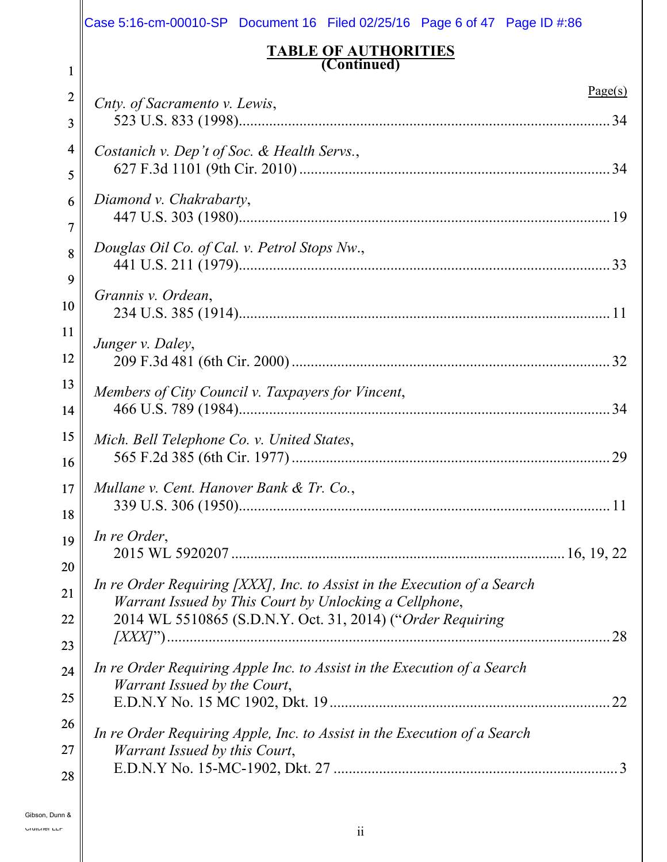|    | Case 5:16-cm-00010-SP Document 16 Filed 02/25/16 Page 6 of 47 Page ID #:86                                           |         |
|----|----------------------------------------------------------------------------------------------------------------------|---------|
|    | <b>TABLE OF AUTHORITIES</b><br>(Continued)                                                                           |         |
| 1  |                                                                                                                      |         |
| 2  | Cnty. of Sacramento v. Lewis,                                                                                        | Page(s) |
| 3  |                                                                                                                      | 34      |
| 4  | Costanich v. Dep't of Soc. & Health Servs.,                                                                          |         |
| 5  |                                                                                                                      | 34      |
| 6  | Diamond v. Chakrabarty,                                                                                              |         |
| 7  |                                                                                                                      |         |
| 8  | Douglas Oil Co. of Cal. v. Petrol Stops Nw.,                                                                         |         |
| 9  |                                                                                                                      | 33      |
| 10 | Grannis v. Ordean,                                                                                                   |         |
| 11 |                                                                                                                      |         |
|    | Junger v. Daley,                                                                                                     |         |
| 12 |                                                                                                                      |         |
| 13 | Members of City Council v. Taxpayers for Vincent,                                                                    |         |
| 14 |                                                                                                                      | 34      |
| 15 | Mich. Bell Telephone Co. v. United States,                                                                           |         |
| 16 |                                                                                                                      | 29      |
| 17 | Mullane v. Cent. Hanover Bank & Tr. Co.,                                                                             |         |
| 18 |                                                                                                                      | 11      |
| 19 | In re Order,                                                                                                         |         |
| 20 |                                                                                                                      |         |
| 21 | In re Order Requiring [XXX], Inc. to Assist in the Execution of a Search                                             |         |
| 22 | Warrant Issued by This Court by Unlocking a Cellphone,<br>2014 WL 5510865 (S.D.N.Y. Oct. 31, 2014) ("Order Requiring |         |
| 23 |                                                                                                                      | 28      |
| 24 | In re Order Requiring Apple Inc. to Assist in the Execution of a Search                                              |         |
|    | Warrant Issued by the Court,                                                                                         |         |
| 25 |                                                                                                                      | 22      |
| 26 | In re Order Requiring Apple, Inc. to Assist in the Execution of a Search                                             |         |
| 27 | Warrant Issued by this Court,                                                                                        |         |
| 28 |                                                                                                                      |         |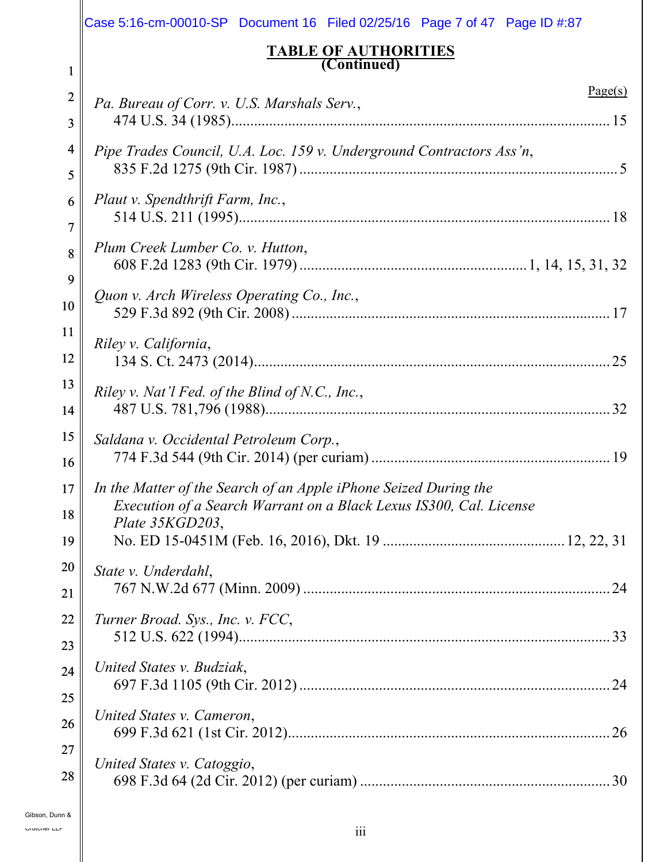|                | Case 5:16-cm-00010-SP Document 16 Filed 02/25/16 Page 7 of 47 Page ID #:87            |
|----------------|---------------------------------------------------------------------------------------|
| $\mathbf{1}$   | <b>TABLE OF AUTHORITIES</b><br>(Continued)                                            |
|                | Page(s)                                                                               |
| $\overline{2}$ | Pa. Bureau of Corr. v. U.S. Marshals Serv.,                                           |
| 3              |                                                                                       |
| 4<br>5         | Pipe Trades Council, U.A. Loc. 159 v. Underground Contractors Ass'n,                  |
| 6              | Plaut v. Spendthrift Farm, Inc.,                                                      |
| 7              |                                                                                       |
| 8              | Plum Creek Lumber Co. v. Hutton,                                                      |
| 9              |                                                                                       |
| 10             | Quon v. Arch Wireless Operating Co., Inc.,                                            |
| <sup>11</sup>  | Riley v. California,                                                                  |
| 12             |                                                                                       |
| 13             | Riley v. Nat'l Fed. of the Blind of N.C., Inc.,                                       |
| 14             |                                                                                       |
| 15             | Saldana v. Occidental Petroleum Corp.,                                                |
| 16             |                                                                                       |
| $17 \parallel$ | In the Matter of the Search of an Apple iPhone Seized During the                      |
| 18             | Execution of a Search Warrant on a Black Lexus IS300, Cal. License<br>Plate 35KGD203, |
| 19             |                                                                                       |
| 20             | State v. Underdahl,                                                                   |
| 21             |                                                                                       |
| 22             | Turner Broad. Sys., Inc. v. FCC,                                                      |
| 23             |                                                                                       |
| 24             | United States v. Budziak,                                                             |
| 25             |                                                                                       |
| 26             | United States v. Cameron,                                                             |
| 27             | 26                                                                                    |
| 28             | United States v. Catoggio,                                                            |

Gibson, Dunn &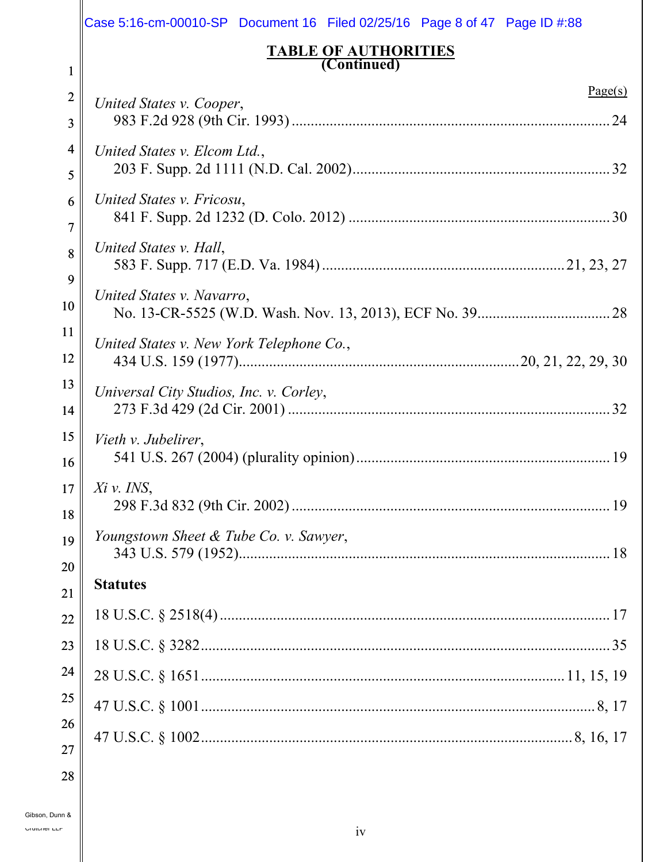|                 | Case 5:16-cm-00010-SP Document 16 Filed 02/25/16 Page 8 of 47 Page ID #:88 |  |  |  |
|-----------------|----------------------------------------------------------------------------|--|--|--|
|                 | <b>TABLE OF AUTHORITIES</b><br>(Continued)                                 |  |  |  |
| $\mathbf{1}$    |                                                                            |  |  |  |
| $\overline{2}$  | Page(s)<br>United States v. Cooper,                                        |  |  |  |
| 3               |                                                                            |  |  |  |
| 4               | United States v. Elcom Ltd.,                                               |  |  |  |
| 5               |                                                                            |  |  |  |
| 6               | United States v. Fricosu,                                                  |  |  |  |
| $\overline{7}$  |                                                                            |  |  |  |
| 8               | United States v. Hall,                                                     |  |  |  |
|                 |                                                                            |  |  |  |
| 9               | United States v. Navarro,                                                  |  |  |  |
| 10              |                                                                            |  |  |  |
| <sup>11</sup>   |                                                                            |  |  |  |
| 12              | United States v. New York Telephone Co.,                                   |  |  |  |
|                 |                                                                            |  |  |  |
| 13              | Universal City Studios, Inc. v. Corley,                                    |  |  |  |
| 14              |                                                                            |  |  |  |
| 15              | Vieth v. Jubelirer,                                                        |  |  |  |
| 16              |                                                                            |  |  |  |
|                 |                                                                            |  |  |  |
| 17 <sup>1</sup> | $Xi$ v. INS,                                                               |  |  |  |
| 18              |                                                                            |  |  |  |
| 19              | Youngstown Sheet & Tube Co. v. Sawyer,                                     |  |  |  |
| 20              |                                                                            |  |  |  |
| 21              | <b>Statutes</b>                                                            |  |  |  |
| 22              |                                                                            |  |  |  |
| 23              |                                                                            |  |  |  |
| 24              |                                                                            |  |  |  |
| 25              |                                                                            |  |  |  |
| 26              |                                                                            |  |  |  |
| 27              |                                                                            |  |  |  |
| 28              |                                                                            |  |  |  |

Gibson, Dunn &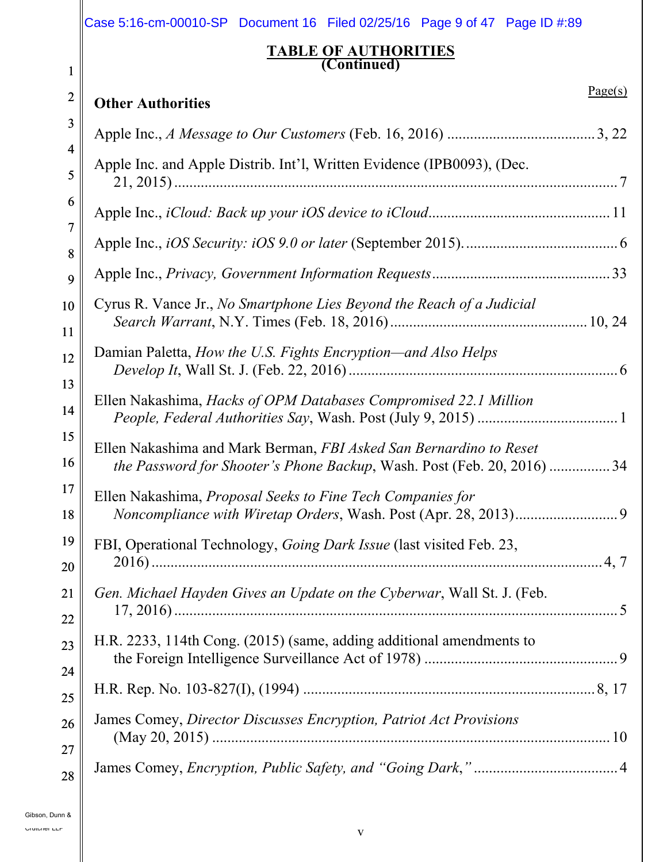|          | Case 5:16-cm-00010-SP Document 16 Filed 02/25/16 Page 9 of 47 Page ID #:89                                                                   |  |  |  |  |
|----------|----------------------------------------------------------------------------------------------------------------------------------------------|--|--|--|--|
| 1        | <b>TABLE OF AUTHORITIES</b><br>(Continued)                                                                                                   |  |  |  |  |
| 2        | Page(s)<br><b>Other Authorities</b>                                                                                                          |  |  |  |  |
| 3        |                                                                                                                                              |  |  |  |  |
| 4<br>5   | Apple Inc. and Apple Distrib. Int'l, Written Evidence (IPB0093), (Dec.                                                                       |  |  |  |  |
| 6        |                                                                                                                                              |  |  |  |  |
| 7<br>8   |                                                                                                                                              |  |  |  |  |
| 9        |                                                                                                                                              |  |  |  |  |
| 10<br>11 | Cyrus R. Vance Jr., No Smartphone Lies Beyond the Reach of a Judicial                                                                        |  |  |  |  |
| 12<br>13 | Damian Paletta, How the U.S. Fights Encryption—and Also Helps                                                                                |  |  |  |  |
| 14       | Ellen Nakashima, Hacks of OPM Databases Compromised 22.1 Million                                                                             |  |  |  |  |
| 15<br>16 | Ellen Nakashima and Mark Berman, FBI Asked San Bernardino to Reset<br>the Password for Shooter's Phone Backup, Wash. Post (Feb. 20, 2016) 34 |  |  |  |  |
| 17<br>18 | Ellen Nakashima, Proposal Seeks to Fine Tech Companies for                                                                                   |  |  |  |  |
| 19<br>20 | FBI, Operational Technology, Going Dark Issue (last visited Feb. 23,                                                                         |  |  |  |  |
| 21<br>22 | Gen. Michael Hayden Gives an Update on the Cyberwar, Wall St. J. (Feb.                                                                       |  |  |  |  |
| 23       | H.R. 2233, 114th Cong. (2015) (same, adding additional amendments to                                                                         |  |  |  |  |
| 24<br>25 |                                                                                                                                              |  |  |  |  |
| 26<br>27 | James Comey, Director Discusses Encryption, Patriot Act Provisions                                                                           |  |  |  |  |
| 28       |                                                                                                                                              |  |  |  |  |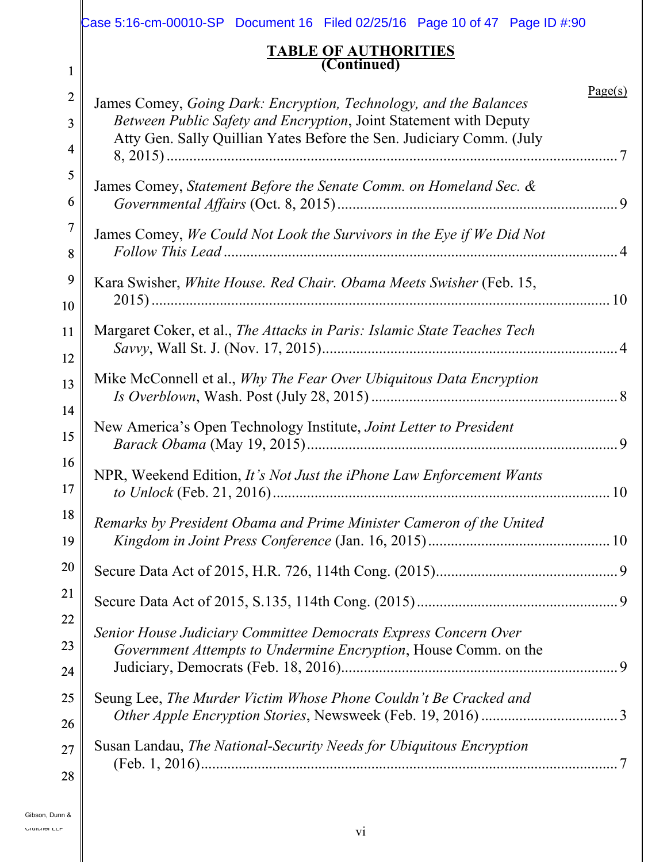|           | Case 5:16-cm-00010-SP Document 16 Filed 02/25/16 Page 10 of 47 Page ID #:90  |  |  |  |  |  |
|-----------|------------------------------------------------------------------------------|--|--|--|--|--|
|           |                                                                              |  |  |  |  |  |
| 1         | <b>TABLE OF AUTHORITIES</b><br>(Continued)                                   |  |  |  |  |  |
| 2         | Page(s)<br>James Comey, Going Dark: Encryption, Technology, and the Balances |  |  |  |  |  |
| 3         | Between Public Safety and Encryption, Joint Statement with Deputy            |  |  |  |  |  |
| 4         | Atty Gen. Sally Quillian Yates Before the Sen. Judiciary Comm. (July         |  |  |  |  |  |
| 5         | James Comey, Statement Before the Senate Comm. on Homeland Sec. &            |  |  |  |  |  |
| 6         |                                                                              |  |  |  |  |  |
| 7         | James Comey, We Could Not Look the Survivors in the Eye if We Did Not        |  |  |  |  |  |
| 8         |                                                                              |  |  |  |  |  |
| 9         | Kara Swisher, <i>White House. Red Chair. Obama Meets Swisher</i> (Feb. 15,   |  |  |  |  |  |
| 10        |                                                                              |  |  |  |  |  |
| 11        | Margaret Coker, et al., The Attacks in Paris: Islamic State Teaches Tech     |  |  |  |  |  |
| 12        |                                                                              |  |  |  |  |  |
| 13        | Mike McConnell et al., Why The Fear Over Ubiquitous Data Encryption          |  |  |  |  |  |
| 14        | New America's Open Technology Institute, Joint Letter to President           |  |  |  |  |  |
| 15        |                                                                              |  |  |  |  |  |
| 16<br>17  | NPR, Weekend Edition, It's Not Just the iPhone Law Enforcement Wants         |  |  |  |  |  |
| 18        | Remarks by President Obama and Prime Minister Cameron of the United          |  |  |  |  |  |
| 19        |                                                                              |  |  |  |  |  |
| 20        |                                                                              |  |  |  |  |  |
| <u>21</u> |                                                                              |  |  |  |  |  |
| 22        | Senior House Judiciary Committee Democrats Express Concern Over              |  |  |  |  |  |
| 23        | Government Attempts to Undermine Encryption, House Comm. on the              |  |  |  |  |  |
| 24        |                                                                              |  |  |  |  |  |
| 25        | Seung Lee, The Murder Victim Whose Phone Couldn't Be Cracked and             |  |  |  |  |  |
| 26        |                                                                              |  |  |  |  |  |
| 27        | Susan Landau, The National-Security Needs for Ubiquitous Encryption          |  |  |  |  |  |
| 28        |                                                                              |  |  |  |  |  |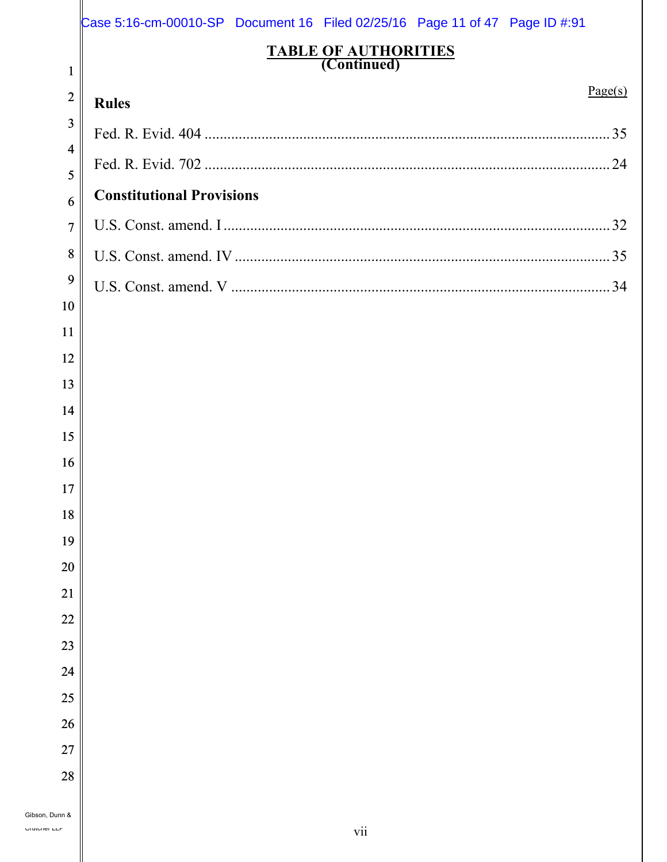|                     | Case 5:16-cm-00010-SP Document 16 Filed 02/25/16 Page 11 of 47 Page ID #:91 |
|---------------------|-----------------------------------------------------------------------------|
| $\mathbf{1}$        | <b>TABLE OF AUTHORITIES</b><br>(Continued)                                  |
| $\overline{2}$      | Page(s)<br><b>Rules</b>                                                     |
| 3                   |                                                                             |
| $\overline{4}$<br>5 |                                                                             |
| 6                   | <b>Constitutional Provisions</b>                                            |
| $\overline{7}$      |                                                                             |
| 8                   |                                                                             |
| 9                   |                                                                             |
| 10                  |                                                                             |
| 11<br>12            |                                                                             |
| 13                  |                                                                             |
| 14                  |                                                                             |
| 15                  |                                                                             |
| 16                  |                                                                             |
| 17                  |                                                                             |
| 18                  |                                                                             |
| 19<br>20            |                                                                             |
| 21                  |                                                                             |
| 22                  |                                                                             |
| 23                  |                                                                             |
| 24                  |                                                                             |
| 25                  |                                                                             |
| 26                  |                                                                             |
| 27<br>28            |                                                                             |
|                     |                                                                             |
| unn &               |                                                                             |

 $\parallel$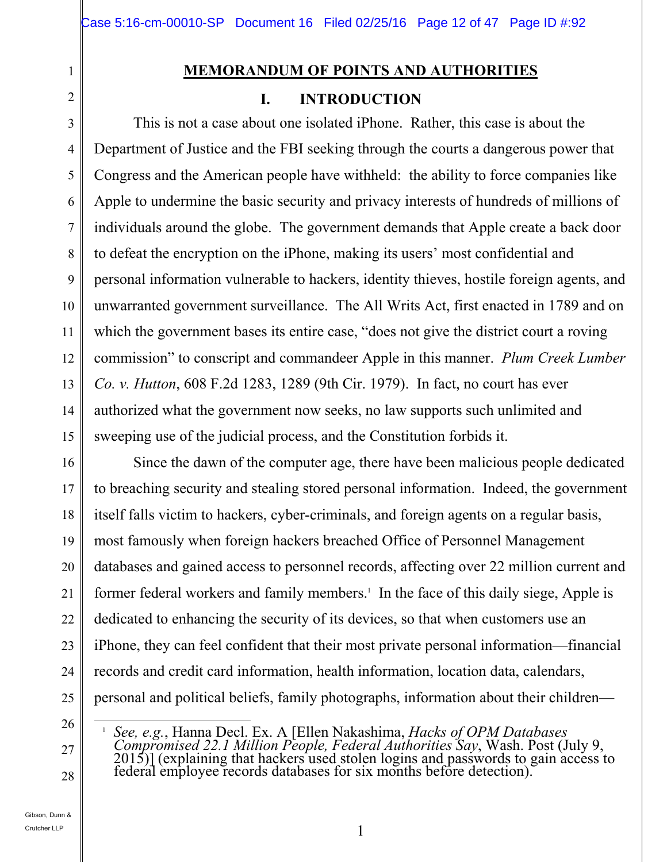### **MEMORANDUM OF POINTS AND AUTHORITIES**

### **I. INTRODUCTION**

This is not a case about one isolated iPhone. Rather, this case is about the Department of Justice and the FBI seeking through the courts a dangerous power that Congress and the American people have withheld: the ability to force companies like Apple to undermine the basic security and privacy interests of hundreds of millions of individuals around the globe. The government demands that Apple create a back door to defeat the encryption on the iPhone, making its users' most confidential and personal information vulnerable to hackers, identity thieves, hostile foreign agents, and unwarranted government surveillance. The All Writs Act, first enacted in 1789 and on which the government bases its entire case, "does not give the district court a roving commission" to conscript and commandeer Apple in this manner. *Plum Creek Lumber Co. v. Hutton*, 608 F.2d 1283, 1289 (9th Cir. 1979). In fact, no court has ever authorized what the government now seeks, no law supports such unlimited and sweeping use of the judicial process, and the Constitution forbids it.

Since the dawn of the computer age, there have been malicious people dedicated to breaching security and stealing stored personal information. Indeed, the government itself falls victim to hackers, cyber-criminals, and foreign agents on a regular basis, most famously when foreign hackers breached Office of Personnel Management databases and gained access to personnel records, affecting over 22 million current and former federal workers and family members.<sup>1</sup> In the face of this daily siege, Apple is dedicated to enhancing the security of its devices, so that when customers use an iPhone, they can feel confident that their most private personal information—financial records and credit card information, health information, location data, calendars, personal and political beliefs, family photographs, information about their children—

26

27

28

1

2

3

4

5

6

7

8

9

10

11

12

13

14

15

16

17

18

19

20

21

22

23

24

See, e.g., Hanna Decl. Ex. A [Ellen Nakashima, *Hacks of OPM Databases* Compromised 22.1 Million People, Federal Authorities Say, Wash. Post (July 9, 2015)] (explaining that hackers used stolen logins and passwords to gain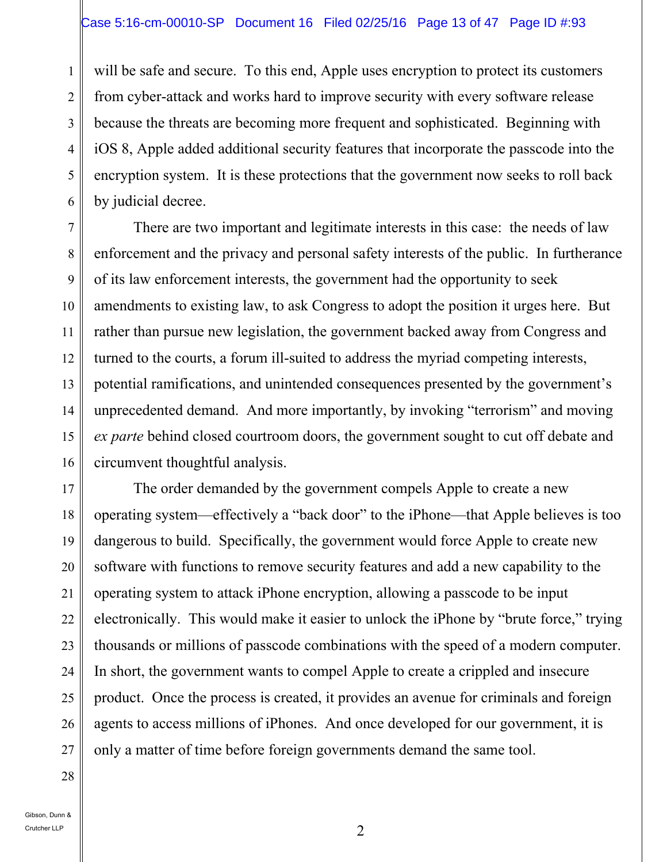will be safe and secure. To this end, Apple uses encryption to protect its customers from cyber-attack and works hard to improve security with every software release because the threats are becoming more frequent and sophisticated. Beginning with iOS 8, Apple added additional security features that incorporate the passcode into the encryption system. It is these protections that the government now seeks to roll back by judicial decree.

There are two important and legitimate interests in this case: the needs of law enforcement and the privacy and personal safety interests of the public. In furtherance of its law enforcement interests, the government had the opportunity to seek amendments to existing law, to ask Congress to adopt the position it urges here. But rather than pursue new legislation, the government backed away from Congress and turned to the courts, a forum ill-suited to address the myriad competing interests, potential ramifications, and unintended consequences presented by the government's unprecedented demand. And more importantly, by invoking "terrorism" and moving *ex parte* behind closed courtroom doors, the government sought to cut off debate and circumvent thoughtful analysis.

17 18 19 20 21 22 23 24 25 26 27 The order demanded by the government compels Apple to create a new operating system—effectively a "back door" to the iPhone—that Apple believes is too dangerous to build. Specifically, the government would force Apple to create new software with functions to remove security features and add a new capability to the operating system to attack iPhone encryption, allowing a passcode to be input electronically. This would make it easier to unlock the iPhone by "brute force," trying thousands or millions of passcode combinations with the speed of a modern computer. In short, the government wants to compel Apple to create a crippled and insecure product. Once the process is created, it provides an avenue for criminals and foreign agents to access millions of iPhones. And once developed for our government, it is only a matter of time before foreign governments demand the same tool.

28

1

2

3

4

5

6

7

8

9

10

11

12

13

14

15

16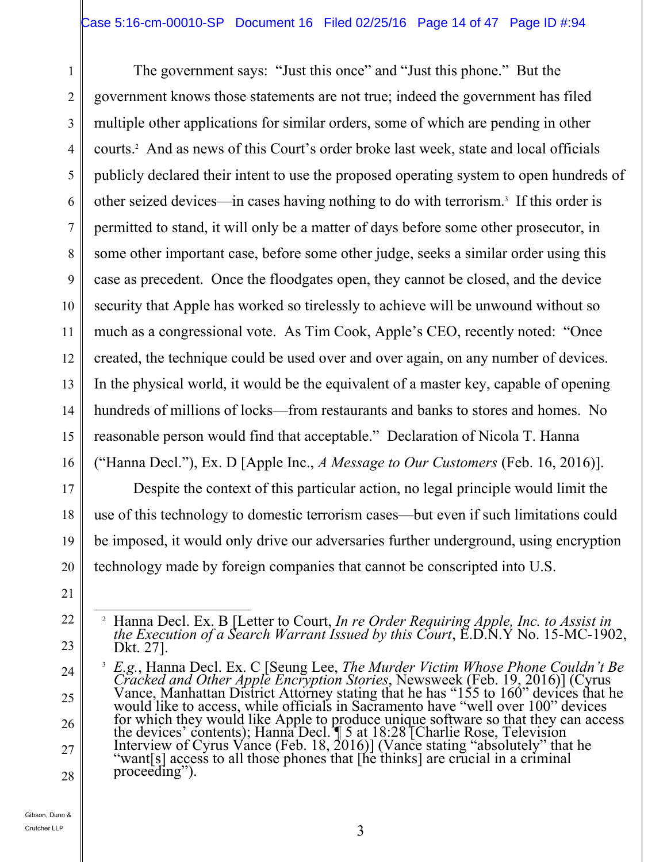1 2 3 4 5 6 7 8 9 10 11 12 13 14 15 16 The government says: "Just this once" and "Just this phone." But the government knows those statements are not true; indeed the government has filed multiple other applications for similar orders, some of which are pending in other courts.2 And as news of this Court's order broke last week, state and local officials publicly declared their intent to use the proposed operating system to open hundreds of other seized devices—in cases having nothing to do with terrorism.<sup>3</sup> If this order is permitted to stand, it will only be a matter of days before some other prosecutor, in some other important case, before some other judge, seeks a similar order using this case as precedent. Once the floodgates open, they cannot be closed, and the device security that Apple has worked so tirelessly to achieve will be unwound without so much as a congressional vote. As Tim Cook, Apple's CEO, recently noted: "Once created, the technique could be used over and over again, on any number of devices. In the physical world, it would be the equivalent of a master key, capable of opening hundreds of millions of locks—from restaurants and banks to stores and homes. No reasonable person would find that acceptable." Declaration of Nicola T. Hanna ("Hanna Decl."), Ex. D [Apple Inc., *A Message to Our Customers* (Feb. 16, 2016)].

Despite the context of this particular action, no legal principle would limit the use of this technology to domestic terrorism cases—but even if such limitations could be imposed, it would only drive our adversaries further underground, using encryption technology made by foreign companies that cannot be conscripted into U.S.

17

18

19

20

21

22

23

24

25

26

27

28

 $\overline{2}$ Hanna Decl. Ex. B [Letter to Court, *In re Order Requiring Apple, Inc. to Assist in the Execution of a Search Warrant Issued by this Court*, E.D.N.Y No. 15-MC-1902, Dkt. 27].

<sup>3</sup> *E.g.*, Hanna Decl. Ex. C [Seung Lee, *The Murder Victim Whose Phone Couldn't Be Cracked and Other Apple Encryption Stories*, Newsweek (Feb. 19, 2016)] (Cyrus Vance, Manhattan District Attorney stating that he has "155 to 160" devices that he would like to access, while officials in Sacramento have "well over 100" devices for which they would like Apple to produce unique software so that they can access<br>the devices' contents); Hanna Decl.  $\P$  5 at 18:28 [Charlie Rose, Television<br>Interview of Cyrus Vance (Feb. 18, 2016)] (Vance stating "abso proceeding").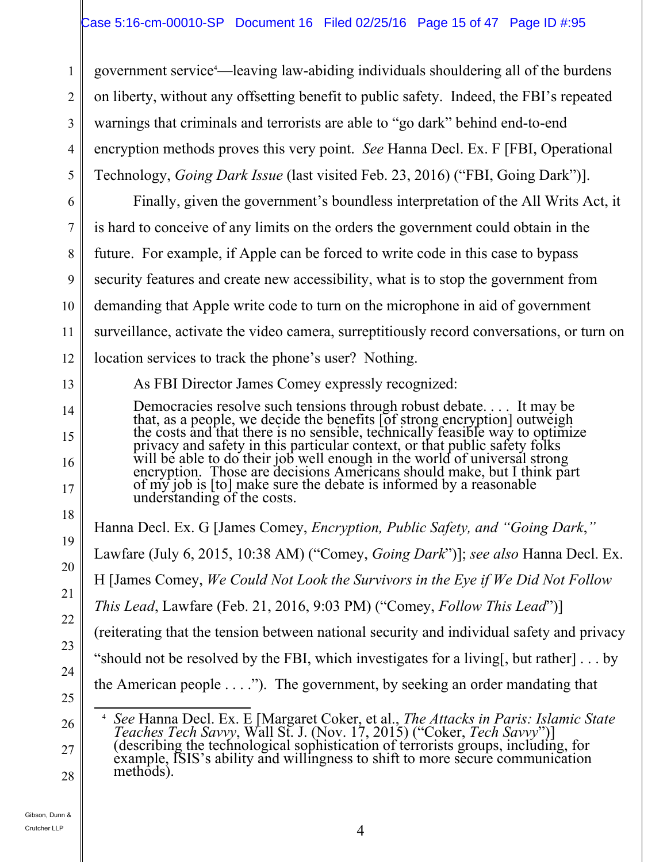government service4 —leaving law-abiding individuals shouldering all of the burdens on liberty, without any offsetting benefit to public safety. Indeed, the FBI's repeated warnings that criminals and terrorists are able to "go dark" behind end-to-end encryption methods proves this very point. *See* Hanna Decl. Ex. F [FBI, Operational Technology, *Going Dark Issue* (last visited Feb. 23, 2016) ("FBI, Going Dark")].

Finally, given the government's boundless interpretation of the All Writs Act, it is hard to conceive of any limits on the orders the government could obtain in the future. For example, if Apple can be forced to write code in this case to bypass security features and create new accessibility, what is to stop the government from demanding that Apple write code to turn on the microphone in aid of government surveillance, activate the video camera, surreptitiously record conversations, or turn on location services to track the phone's user? Nothing.

As FBI Director James Comey expressly recognized:

Democracies resolve such tensions through robust debate.... It may be<br>that, as a people, we decide the benefits [of strong encryption] outweigh<br>the costs and that there is no sensible, technically feasible way to optimize<br>

Hanna Decl. Ex. G [James Comey, *Encryption, Public Safety, and "Going Dark*,*"*  Lawfare (July 6, 2015, 10:38 AM) ("Comey, *Going Dark*")]; *see also* Hanna Decl. Ex. H [James Comey, *We Could Not Look the Survivors in the Eye if We Did Not Follow This Lead*, Lawfare (Feb. 21, 2016, 9:03 PM) ("Comey, *Follow This Lead*")] (reiterating that the tension between national security and individual safety and privacy "should not be resolved by the FBI, which investigates for a living[, but rather] . . . by the American people . . . ."). The government, by seeking an order mandating that

1

2

3

4

5

6

7

8

9

10

11

12

13

14

15

16

17

18

19

20

21

22

23

24

25

26

27

 <sup>4</sup> *See* Hanna Decl. Ex. E [Margaret Coker, et al., *The Attacks in Paris: Islamic State Teaches Tech Savvy*, Wall St. J. (Nov. 17, 2015) ("Coker, *Tech Savvy*")]<br>(describing the technological sophistication of terrorists groups, including, for example, ISIS's ability and willingness to shift to more secure c example, ISIS's ability and willingness to shift to more secure communication methods).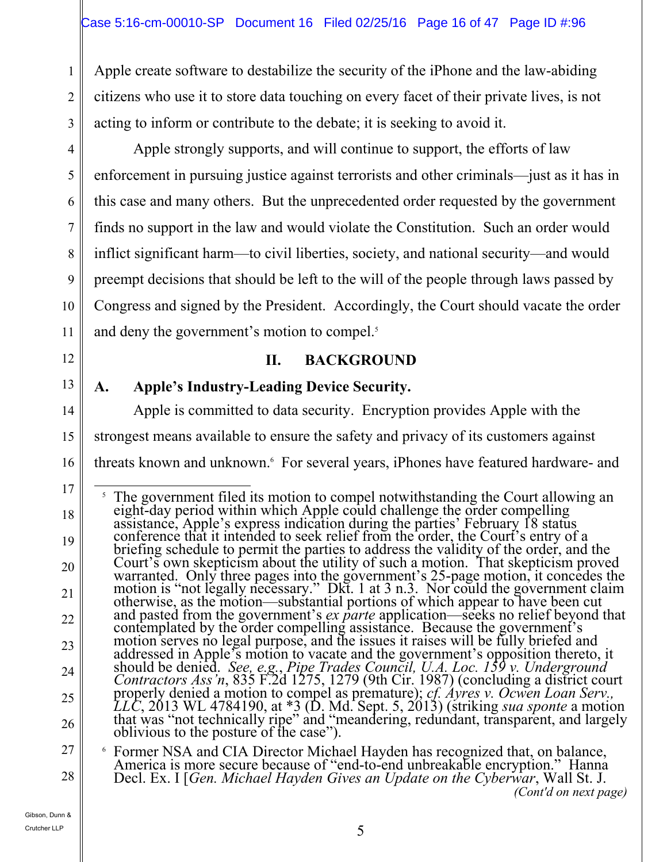Apple create software to destabilize the security of the iPhone and the law-abiding citizens who use it to store data touching on every facet of their private lives, is not acting to inform or contribute to the debate; it is seeking to avoid it.

Apple strongly supports, and will continue to support, the efforts of law enforcement in pursuing justice against terrorists and other criminals—just as it has in this case and many others. But the unprecedented order requested by the government finds no support in the law and would violate the Constitution. Such an order would inflict significant harm—to civil liberties, society, and national security—and would preempt decisions that should be left to the will of the people through laws passed by Congress and signed by the President. Accordingly, the Court should vacate the order and deny the government's motion to compel.<sup>5</sup>

### **II. BACKGROUND**

### **A. Apple's Industry-Leading Device Security.**

Apple is committed to data security. Encryption provides Apple with the strongest means available to ensure the safety and privacy of its customers against threats known and unknown.<sup>6</sup> For several years, iPhones have featured hardware- and

1

2

3

4

5

6

7

8

9

10

11

12

13

14

15

<sup>17</sup> 18 19 20 21 22 23 24 25 26  $\frac{1}{5}$ The government filed its motion to compel notwithstanding the Court allowing an eight-day period within which Apple could challenge the order compelling assistance, Apple's express indication during the parties' February 1 conference that it intended to seek relief from the order, the Court's entry of a<br>briefing schedule to permit the parties to address the validity of the order, and the<br>Court's own skepticism about the utility of such a mo *LLC*, 2013 WL 4784190, at \*3 (D. Md. Sept. 5, 2013) (striking *sua sponte* a motion that was "not technically ripe" and "meandering, redundant, transparent, and largely oblivious to the posture of the case").

<sup>27</sup> 28 <sup>6</sup> Former NSA and CIA Director Michael Hayden has recognized that, on balance, America is more secure because of "end-to-end unbreakable encryption." Hanna<br>Decl. Ex. I [*Gen. Michael Hayden Gives an Update on the Cyberwar*, Wall St. J. *(Cont'd on next page)*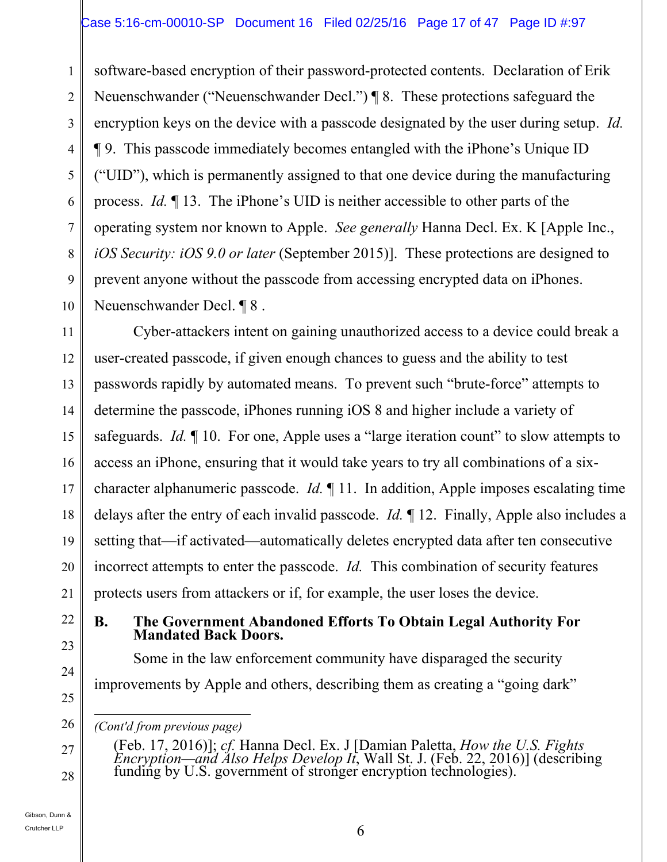7 9 software-based encryption of their password-protected contents. Declaration of Erik Neuenschwander ("Neuenschwander Decl.") ¶ 8. These protections safeguard the encryption keys on the device with a passcode designated by the user during setup. *Id.* ¶ 9. This passcode immediately becomes entangled with the iPhone's Unique ID ("UID"), which is permanently assigned to that one device during the manufacturing process. *Id.* ¶ 13. The iPhone's UID is neither accessible to other parts of the operating system nor known to Apple. *See generally* Hanna Decl. Ex. K [Apple Inc., *iOS Security: iOS 9.0 or later* (September 2015)]. These protections are designed to prevent anyone without the passcode from accessing encrypted data on iPhones. Neuenschwander Decl. ¶ 8 .

11 12 13 14 15 16 17 18 19 20 21 Cyber-attackers intent on gaining unauthorized access to a device could break a user-created passcode, if given enough chances to guess and the ability to test passwords rapidly by automated means. To prevent such "brute-force" attempts to determine the passcode, iPhones running iOS 8 and higher include a variety of safeguards. *Id.* ¶ 10. For one, Apple uses a "large iteration count" to slow attempts to access an iPhone, ensuring that it would take years to try all combinations of a sixcharacter alphanumeric passcode. *Id.* ¶ 11. In addition, Apple imposes escalating time delays after the entry of each invalid passcode. *Id.* ¶ 12. Finally, Apple also includes a setting that—if activated—automatically deletes encrypted data after ten consecutive incorrect attempts to enter the passcode. *Id.* This combination of security features protects users from attackers or if, for example, the user loses the device.

**B. The Government Abandoned Efforts To Obtain Legal Authority For Mandated Back Doors.** 

Some in the law enforcement community have disparaged the security improvements by Apple and others, describing them as creating a "going dark"

Gibson, Dunn & Crutcher LLP

22

23

24

25

26

27

28

1

2

3

4

5

6

8

 $\overline{a}$ *(Cont'd from previous page)* 

<sup>(</sup>Feb. 17, 2016)]; cf. Hanna Decl. Ex. J [Damian Paletta, *How the U.S. Fights Encryption—and Also Helps Develop It*, Wall St. J. (Feb. 22, 2016)] (describing funding by U.S. government of stronger encryption technologies).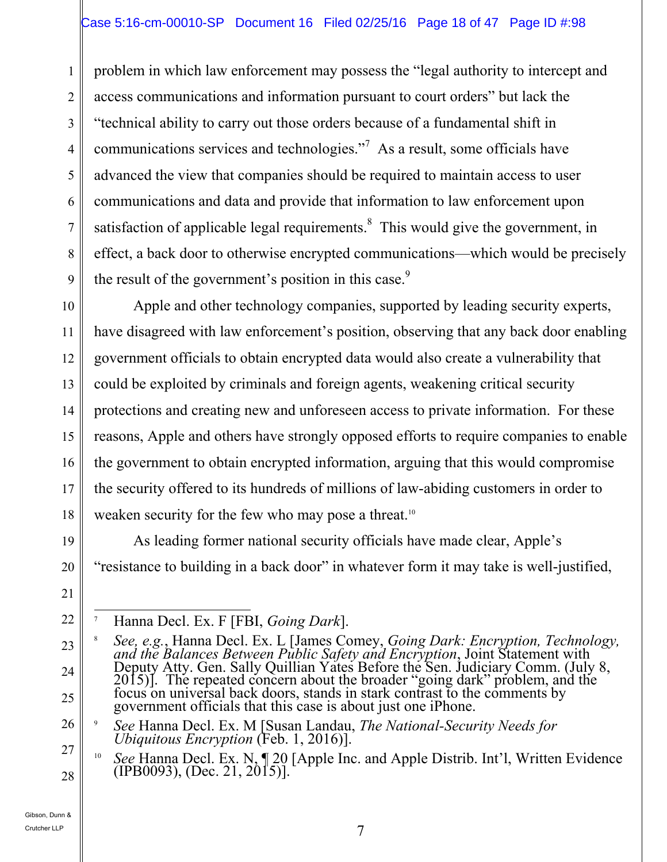3 5 6 7 9 problem in which law enforcement may possess the "legal authority to intercept and access communications and information pursuant to court orders" but lack the "technical ability to carry out those orders because of a fundamental shift in communications services and technologies. $\frac{1}{2}$  As a result, some officials have advanced the view that companies should be required to maintain access to user communications and data and provide that information to law enforcement upon satisfaction of applicable legal requirements. $\delta$  This would give the government, in effect, a back door to otherwise encrypted communications—which would be precisely the result of the government's position in this case. $9$ 

10 11 12 13 14 15 16 17 18 Apple and other technology companies, supported by leading security experts, have disagreed with law enforcement's position, observing that any back door enabling government officials to obtain encrypted data would also create a vulnerability that could be exploited by criminals and foreign agents, weakening critical security protections and creating new and unforeseen access to private information. For these reasons, Apple and others have strongly opposed efforts to require companies to enable the government to obtain encrypted information, arguing that this would compromise the security offered to its hundreds of millions of law-abiding customers in order to weaken security for the few who may pose a threat.<sup>10</sup>

As leading former national security officials have made clear, Apple's "resistance to building in a back door" in whatever form it may take is well-justified,

1

2

4

8

19

20

21

23

24

25

<sup>22</sup> <sup>-</sup> <sup>7</sup> Hanna Decl. Ex. F [FBI, *Going Dark*].<br><sup>8</sup> See e.g. Hanna Decl. Ex. J. Hames Co.

See, e.g., Hanna Decl. Ex. L [James Comey, *Going Dark: Encryption, Technology, and the Balances Between Public Safety and Encryption*, Joint Statement with Deputy Atty. Gen. Sally Quillian Yates Before the Sen. Judiciary focus on universal back doors, stands in stark contrast to the comments by government officials that this case is about just one iPhone.<br>9 See Hanna Decl. Ex. M [Susan Landau, *The National-Security Needs for* 

<sup>26</sup> 27

Ubiquitous Encryption (Feb. 1, 2016)].<br>
<sup>10</sup> See Hanna Decl. Ex. N, ¶ 20 [Apple Inc. and Apple Distrib. Int'l, Written Evidence (IPB0093), (Dec. 21, 2015)].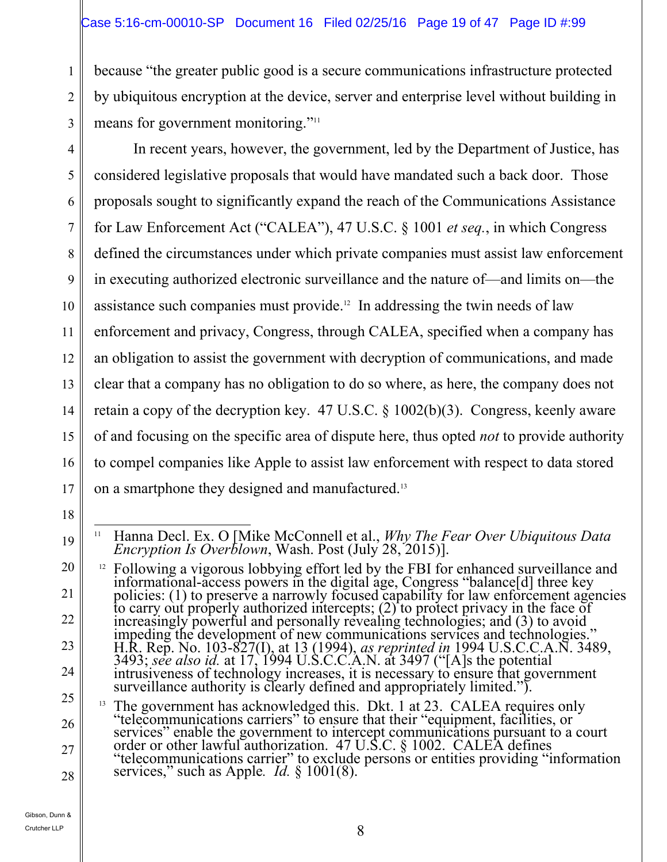because "the greater public good is a secure communications infrastructure protected by ubiquitous encryption at the device, server and enterprise level without building in means for government monitoring."<sup>11</sup>

4 5 6 7 8 9 10 11 12 13 14 15 16 17 In recent years, however, the government, led by the Department of Justice, has considered legislative proposals that would have mandated such a back door. Those proposals sought to significantly expand the reach of the Communications Assistance for Law Enforcement Act ("CALEA"), 47 U.S.C. § 1001 *et seq.*, in which Congress defined the circumstances under which private companies must assist law enforcement in executing authorized electronic surveillance and the nature of—and limits on—the assistance such companies must provide.12 In addressing the twin needs of law enforcement and privacy, Congress, through CALEA, specified when a company has an obligation to assist the government with decryption of communications, and made clear that a company has no obligation to do so where, as here, the company does not retain a copy of the decryption key. 47 U.S.C. § 1002(b)(3). Congress, keenly aware of and focusing on the specific area of dispute here, thus opted *not* to provide authority to compel companies like Apple to assist law enforcement with respect to data stored on a smartphone they designed and manufactured.13

19

1

2

<sup>18</sup>

 $\overline{a}$ 

<sup>20</sup> 21 22 23 24 25 <sup>1</sup> Hanna Decl. Ex. O [Mike McConnell et al., *Why The Fear Over Ubiquitous Data*<br>*Encryption Is Overblown*, Wash. Post (July 28, 2015)].<br><sup>12</sup> Following a vigorous lobbying effort led by the FBI for enhanced surveillance

<sup>26</sup> 27 28 H.R. Rep. No. 103-827(I), at 13 (1994), as reprinted in 1994 U.S.C.C.A.N. 3489,<br>3493; see also id. at 17, 1994 U.S.C.C.A.N. as reprinted in 1994 U.S.C.C.A.N. 3489,<br>3493; see also id. at 17, 1994 U.S.C.C.A.N. at 3497 ("[A] services," such as Apple*. Id.* § 1001(8).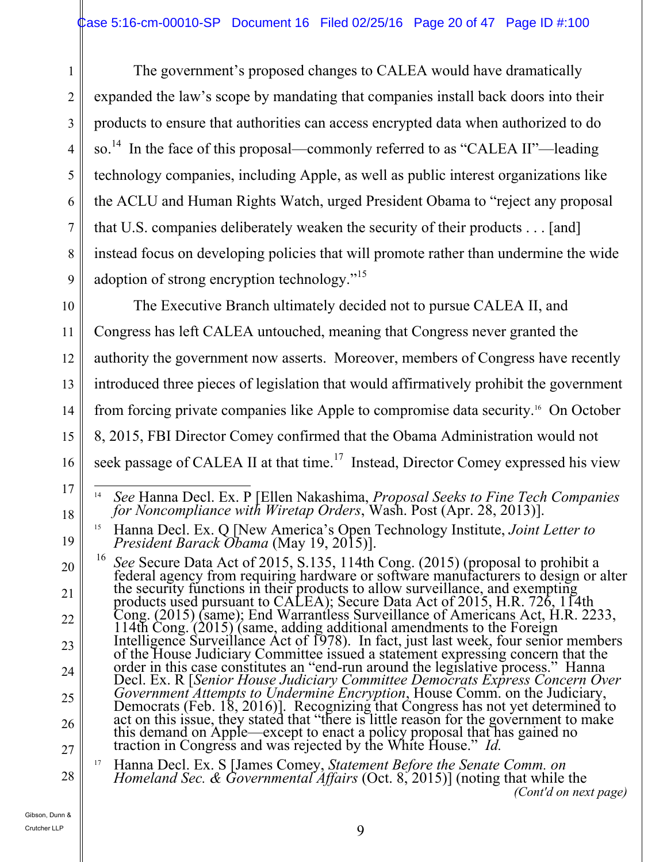The government's proposed changes to CALEA would have dramatically expanded the law's scope by mandating that companies install back doors into their products to ensure that authorities can access encrypted data when authorized to do so.<sup>14</sup> In the face of this proposal—commonly referred to as "CALEA II"—leading technology companies, including Apple, as well as public interest organizations like the ACLU and Human Rights Watch, urged President Obama to "reject any proposal that U.S. companies deliberately weaken the security of their products . . . [and] instead focus on developing policies that will promote rather than undermine the wide adoption of strong encryption technology."15

10 11 12 13 14 15 16 The Executive Branch ultimately decided not to pursue CALEA II, and Congress has left CALEA untouched, meaning that Congress never granted the authority the government now asserts. Moreover, members of Congress have recently introduced three pieces of legislation that would affirmatively prohibit the government from forcing private companies like Apple to compromise data security.16 On October 8, 2015, FBI Director Comey confirmed that the Obama Administration would not seek passage of CALEA II at that time.<sup>17</sup> Instead, Director Comey expressed his view

 $\overline{a}$ See Hanna Decl. Ex. P [Ellen Nakashima, *Proposal Seeks to Fine Tech Companies for Noncompliance with Wiretap Orders*, Wash. Post (Apr. 28, 2013)].<br>Hanna Decl. Ex. O [New America's Open Technology Institute, *Joint Letter* 

28

1

2

3

4

5

6

7

8

9

17

18

*President Barack Obama* (May 19, 2015)].

<sup>20</sup> 21 22 23 24 25 26 27 <sup>16</sup> See Secure Data Act of 2015, S.135, 114th Cong. (2015) (proposal to prohibit a federal agency from requiring hardware or software manufacturers to design or alter the security functions in their products to allow sur

<sup>17</sup> Hanna Decl. Ex. S [James Comey, *Statement Before the Senate Comm. on Homeland Sec. & Governmental Affairs* (Oct. 8, 2015)] (noting that while the *(Cont'd on next page)*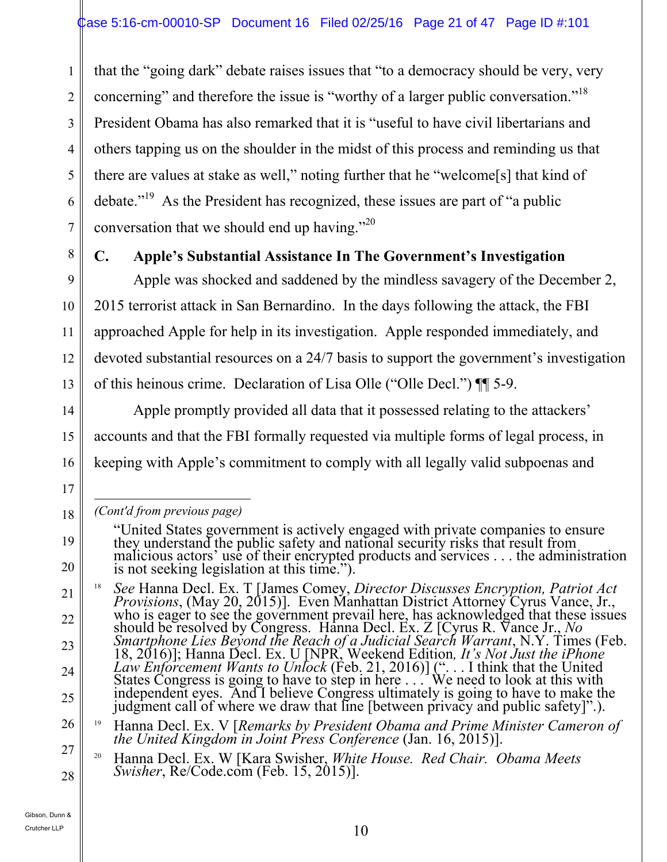1 2 3 4 5 6 7 that the "going dark" debate raises issues that "to a democracy should be very, very concerning" and therefore the issue is "worthy of a larger public conversation."<sup>18</sup> President Obama has also remarked that it is "useful to have civil libertarians and others tapping us on the shoulder in the midst of this process and reminding us that there are values at stake as well," noting further that he "welcome[s] that kind of debate."19 As the President has recognized, these issues are part of "a public conversation that we should end up having."<sup>20</sup>

8

9

10

11

12

13

14

15

16

17

18

### **C. Apple's Substantial Assistance In The Government's Investigation**

Apple was shocked and saddened by the mindless savagery of the December 2, 2015 terrorist attack in San Bernardino. In the days following the attack, the FBI approached Apple for help in its investigation. Apple responded immediately, and devoted substantial resources on a 24/7 basis to support the government's investigation of this heinous crime. Declaration of Lisa Olle ("Olle Decl.") ¶¶ 5-9.

Apple promptly provided all data that it possessed relating to the attackers' accounts and that the FBI formally requested via multiple forms of legal process, in keeping with Apple's commitment to comply with all legally valid subpoenas and

### $\overline{a}$ *(Cont'd from previous page)*

<sup>19</sup> 20 "United States government is actively engaged with private companies to ensure<br>they understand the public safety and national security risks that result from<br>malicious actors' use of their encrypted products and services .

<sup>21</sup> 22 23 24 25 is not seeking legislation at this time.").<br><sup>18</sup> See Hanna Decl. Ex. T [James Comey, *Director Discusses Encryption, Patriot Act Provisions*, (May 20, 2015)]. Even Manhattan District Attorney Cyrus Vance, Jr., who is eage *Smartphone Lies Beyond the Reach of a Judicial Search Warrant*, N.Y. Times (Feb. 18, 2016)]; Hanna Decl. Ex. U [NPR, Weekend Edition*, It's Not Just the iPhone Law Enforcement Wants to Unlock* (Feb. 21, 2016)] (". . . I think that the United States Congress is going to have to step in here . . . We need to look at this with States Congress is going to have to step in here ... We need to look at this with<br>independent eyes. And I believe Congress ultimately is going to have to make the<br>judgment call of where we draw that line [between privacy a

<sup>26</sup> 27

*Swisher*, Re/Code.com (Feb. 15, 2015)].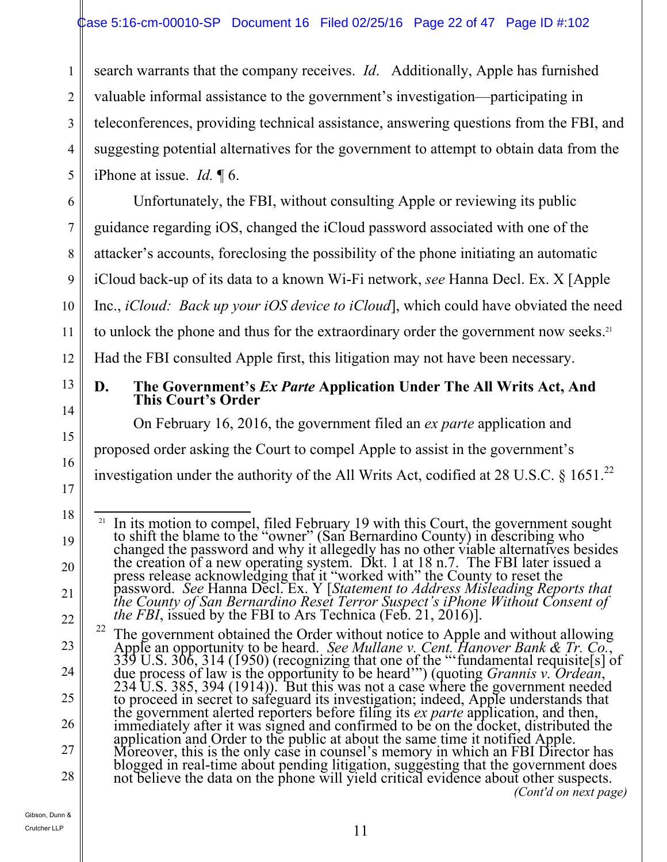1 2 3 4 5 search warrants that the company receives. *Id*. Additionally, Apple has furnished valuable informal assistance to the government's investigation—participating in teleconferences, providing technical assistance, answering questions from the FBI, and suggesting potential alternatives for the government to attempt to obtain data from the iPhone at issue. *Id.* ¶ 6.

6 7 8 9 10 11 12 Unfortunately, the FBI, without consulting Apple or reviewing its public guidance regarding iOS, changed the iCloud password associated with one of the attacker's accounts, foreclosing the possibility of the phone initiating an automatic iCloud back-up of its data to a known Wi-Fi network, *see* Hanna Decl. Ex. X [Apple Inc., *iCloud: Back up your iOS device to iCloud*], which could have obviated the need to unlock the phone and thus for the extraordinary order the government now seeks.<sup>21</sup> Had the FBI consulted Apple first, this litigation may not have been necessary.

### 13 14 **D. The Government's** *Ex Parte* **Application Under The All Writs Act, And This Court's Order**

On February 16, 2016, the government filed an *ex parte* application and proposed order asking the Court to compel Apple to assist in the government's investigation under the authority of the All Writs Act, codified at 28 U.S.C. § 1651.<sup>22</sup>

The government obtained the Order without notice to Apple and without allowing<br>Apple an opportunity to be heard. *See Mullane v. Cent. Hanover Bank & Tr. Co.*,<br>339 U.S. 306, 314 (1950) (recognizing that one of the "'funda Moreover, this is the only case in counsel's memory in which an FBI Director has blogged in real-time about pending litigation, suggesting that the government does not believe the data on the phone will yield critical evid *(Cont'd on next page)*

15

16

17

18

19

20

21

22

23

24

25

26

27

 $\overline{a}$ <sup>21</sup> In its motion to compel, filed February 19 with this Court, the government sought to shift the blame to the "owner" (San Bernardino County) in describing who the creation of a new operating system. Dkt. 1 at 18 n.7. The FBI later issued a press release acknowledging that it "worked with" the County to reset the<br>password. See Hanna Decl. Ex. Y [Statement to Address Misleading Reports that<br>the County of San Bernardino Reset Terror Suspect's iPhone Without Con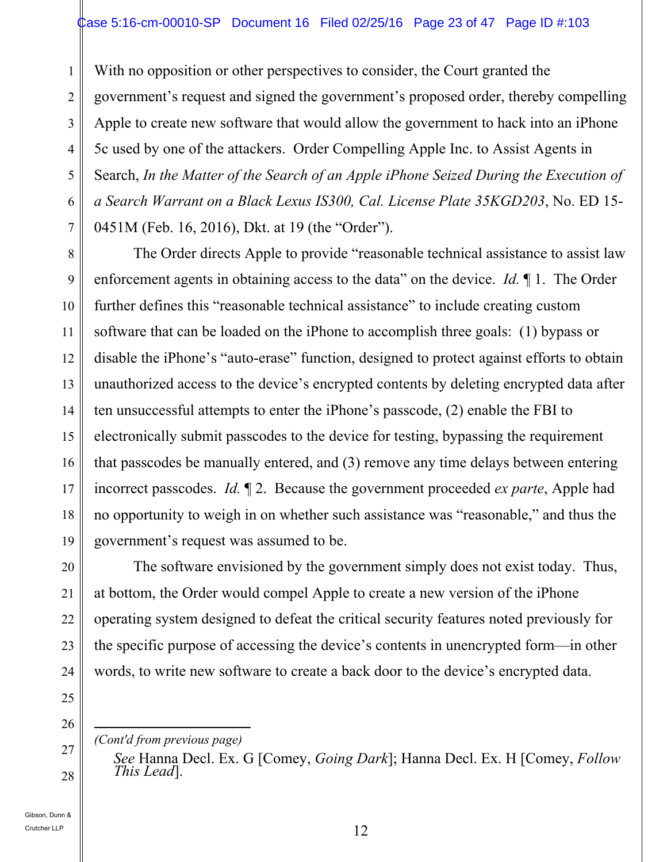With no opposition or other perspectives to consider, the Court granted the government's request and signed the government's proposed order, thereby compelling Apple to create new software that would allow the government to hack into an iPhone 5c used by one of the attackers. Order Compelling Apple Inc. to Assist Agents in Search, *In the Matter of the Search of an Apple iPhone Seized During the Execution of a Search Warrant on a Black Lexus IS300, Cal. License Plate 35KGD203*, No. ED 15- 0451M (Feb. 16, 2016), Dkt. at 19 (the "Order").

The Order directs Apple to provide "reasonable technical assistance to assist law enforcement agents in obtaining access to the data" on the device. *Id.* ¶ 1. The Order further defines this "reasonable technical assistance" to include creating custom software that can be loaded on the iPhone to accomplish three goals: (1) bypass or disable the iPhone's "auto-erase" function, designed to protect against efforts to obtain unauthorized access to the device's encrypted contents by deleting encrypted data after ten unsuccessful attempts to enter the iPhone's passcode, (2) enable the FBI to electronically submit passcodes to the device for testing, bypassing the requirement that passcodes be manually entered, and (3) remove any time delays between entering incorrect passcodes. *Id.* ¶ 2. Because the government proceeded *ex parte*, Apple had no opportunity to weigh in on whether such assistance was "reasonable," and thus the government's request was assumed to be.

The software envisioned by the government simply does not exist today. Thus, at bottom, the Order would compel Apple to create a new version of the iPhone operating system designed to defeat the critical security features noted previously for the specific purpose of accessing the device's contents in unencrypted form—in other words, to write new software to create a back door to the device's encrypted data.

 $\overline{a}$ *(Cont'd from previous page)* 

Gibson, Dunn & Crutcher LLP

1

2

3

4

5

6

7

8

9

10

11

12

13

14

15

16

17

18

19

20

21

22

23

24

25

26

27

*See* Hanna Decl. Ex. G [Comey, *Going Dark*]; Hanna Decl. Ex. H [Comey, *Follow This Lead*].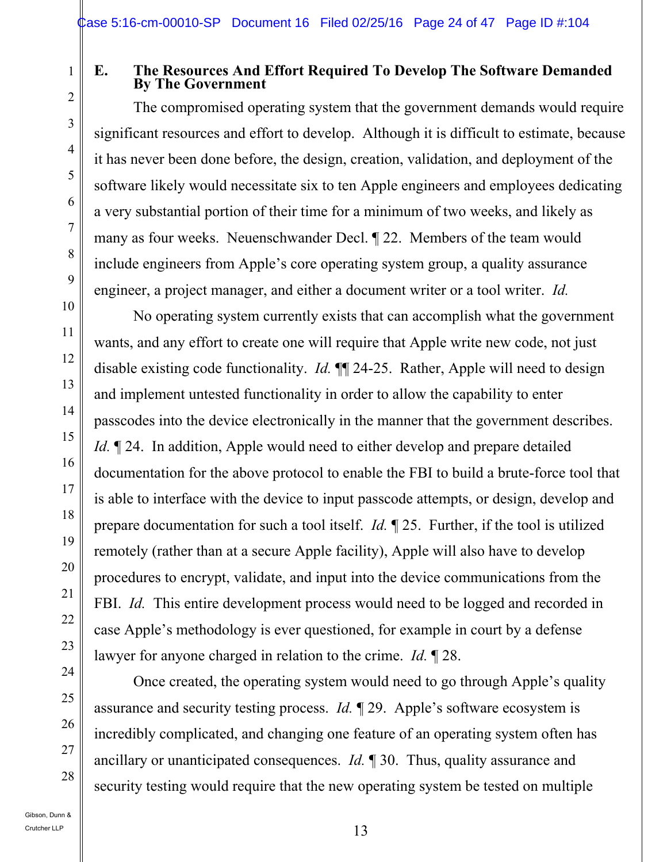1

2

3

4

5

6

7

8

9

10

11

12

13

14

15

16

17

18

19

20

21

22

23

24

25

26

27

# **E. The Resources And Effort Required To Develop The Software Demanded By The Government**

The compromised operating system that the government demands would require significant resources and effort to develop. Although it is difficult to estimate, because it has never been done before, the design, creation, validation, and deployment of the software likely would necessitate six to ten Apple engineers and employees dedicating a very substantial portion of their time for a minimum of two weeks, and likely as many as four weeks. Neuenschwander Decl. ¶ 22. Members of the team would include engineers from Apple's core operating system group, a quality assurance engineer, a project manager, and either a document writer or a tool writer. *Id.*

No operating system currently exists that can accomplish what the government wants, and any effort to create one will require that Apple write new code, not just disable existing code functionality. *Id.* ¶¶ 24-25. Rather, Apple will need to design and implement untested functionality in order to allow the capability to enter passcodes into the device electronically in the manner that the government describes. *Id.*  $\mathbb{I}$  24. In addition, Apple would need to either develop and prepare detailed documentation for the above protocol to enable the FBI to build a brute-force tool that is able to interface with the device to input passcode attempts, or design, develop and prepare documentation for such a tool itself. *Id.* ¶ 25. Further, if the tool is utilized remotely (rather than at a secure Apple facility), Apple will also have to develop procedures to encrypt, validate, and input into the device communications from the FBI. *Id.* This entire development process would need to be logged and recorded in case Apple's methodology is ever questioned, for example in court by a defense lawyer for anyone charged in relation to the crime. *Id.* ¶ 28.

Once created, the operating system would need to go through Apple's quality assurance and security testing process. *Id.* ¶ 29. Apple's software ecosystem is incredibly complicated, and changing one feature of an operating system often has ancillary or unanticipated consequences. *Id.* ¶ 30. Thus, quality assurance and security testing would require that the new operating system be tested on multiple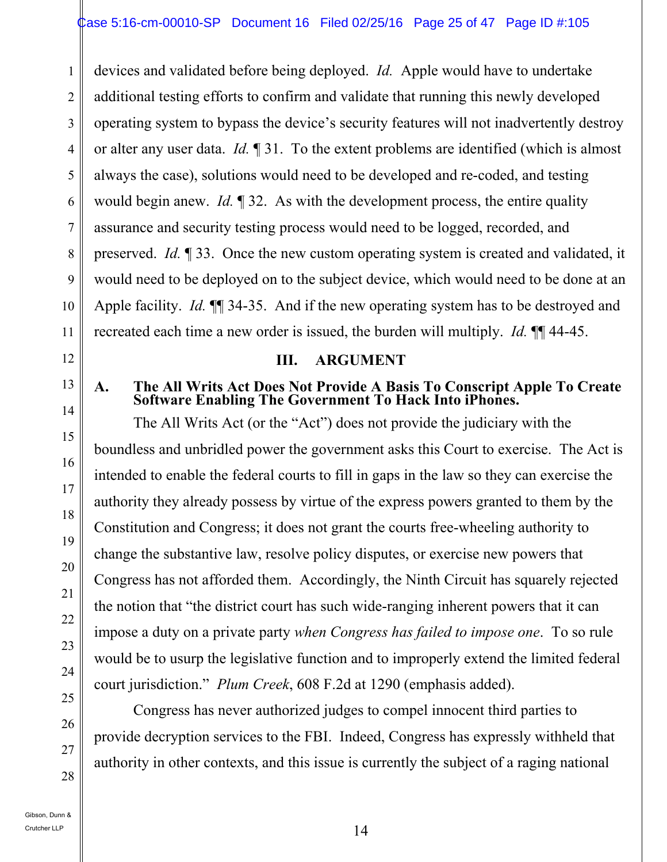1 2 3 devices and validated before being deployed. *Id.* Apple would have to undertake additional testing efforts to confirm and validate that running this newly developed operating system to bypass the device's security features will not inadvertently destroy or alter any user data. *Id.* ¶ 31. To the extent problems are identified (which is almost always the case), solutions would need to be developed and re-coded, and testing would begin anew. *Id.* ¶ 32. As with the development process, the entire quality assurance and security testing process would need to be logged, recorded, and preserved. *Id.* ¶ 33. Once the new custom operating system is created and validated, it would need to be deployed on to the subject device, which would need to be done at an Apple facility. *Id.* ¶¶ 34-35. And if the new operating system has to be destroyed and recreated each time a new order is issued, the burden will multiply. *Id.* ¶¶ 44-45.

### **III. ARGUMENT**

# **A. The All Writs Act Does Not Provide A Basis To Conscript Apple To Create Software Enabling The Government To Hack Into iPhones.**

The All Writs Act (or the "Act") does not provide the judiciary with the boundless and unbridled power the government asks this Court to exercise. The Act is intended to enable the federal courts to fill in gaps in the law so they can exercise the authority they already possess by virtue of the express powers granted to them by the Constitution and Congress; it does not grant the courts free-wheeling authority to change the substantive law, resolve policy disputes, or exercise new powers that Congress has not afforded them. Accordingly, the Ninth Circuit has squarely rejected the notion that "the district court has such wide-ranging inherent powers that it can impose a duty on a private party *when Congress has failed to impose one*. To so rule would be to usurp the legislative function and to improperly extend the limited federal court jurisdiction." *Plum Creek*, 608 F.2d at 1290 (emphasis added).

Congress has never authorized judges to compel innocent third parties to provide decryption services to the FBI. Indeed, Congress has expressly withheld that authority in other contexts, and this issue is currently the subject of a raging national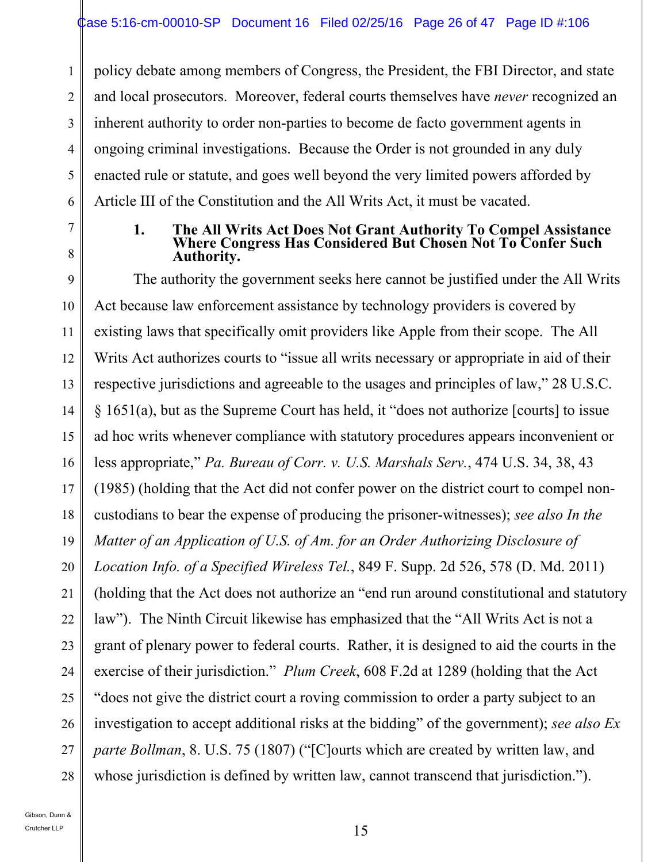1 2 3 4 5 6 policy debate among members of Congress, the President, the FBI Director, and state and local prosecutors. Moreover, federal courts themselves have *never* recognized an inherent authority to order non-parties to become de facto government agents in ongoing criminal investigations. Because the Order is not grounded in any duly enacted rule or statute, and goes well beyond the very limited powers afforded by Article III of the Constitution and the All Writs Act, it must be vacated.

7

8

### **1. The All Writs Act Does Not Grant Authority To Compel Assistance Where Congress Has Considered But Chosen Not To Confer Such Authority.**

9 10 11 12 13 14 15 16 17 18 19 20 21 22 23 24 25 26 27 28 The authority the government seeks here cannot be justified under the All Writs Act because law enforcement assistance by technology providers is covered by existing laws that specifically omit providers like Apple from their scope. The All Writs Act authorizes courts to "issue all writs necessary or appropriate in aid of their respective jurisdictions and agreeable to the usages and principles of law," 28 U.S.C. § 1651(a), but as the Supreme Court has held, it "does not authorize [courts] to issue ad hoc writs whenever compliance with statutory procedures appears inconvenient or less appropriate," *Pa. Bureau of Corr. v. U.S. Marshals Serv.*, 474 U.S. 34, 38, 43 (1985) (holding that the Act did not confer power on the district court to compel noncustodians to bear the expense of producing the prisoner-witnesses); *see also In the Matter of an Application of U.S. of Am. for an Order Authorizing Disclosure of Location Info. of a Specified Wireless Tel.*, 849 F. Supp. 2d 526, 578 (D. Md. 2011) (holding that the Act does not authorize an "end run around constitutional and statutory law"). The Ninth Circuit likewise has emphasized that the "All Writs Act is not a grant of plenary power to federal courts. Rather, it is designed to aid the courts in the exercise of their jurisdiction." *Plum Creek*, 608 F.2d at 1289 (holding that the Act "does not give the district court a roving commission to order a party subject to an investigation to accept additional risks at the bidding" of the government); *see also Ex parte Bollman*, 8. U.S. 75 (1807) ("[C]ourts which are created by written law, and whose jurisdiction is defined by written law, cannot transcend that jurisdiction.").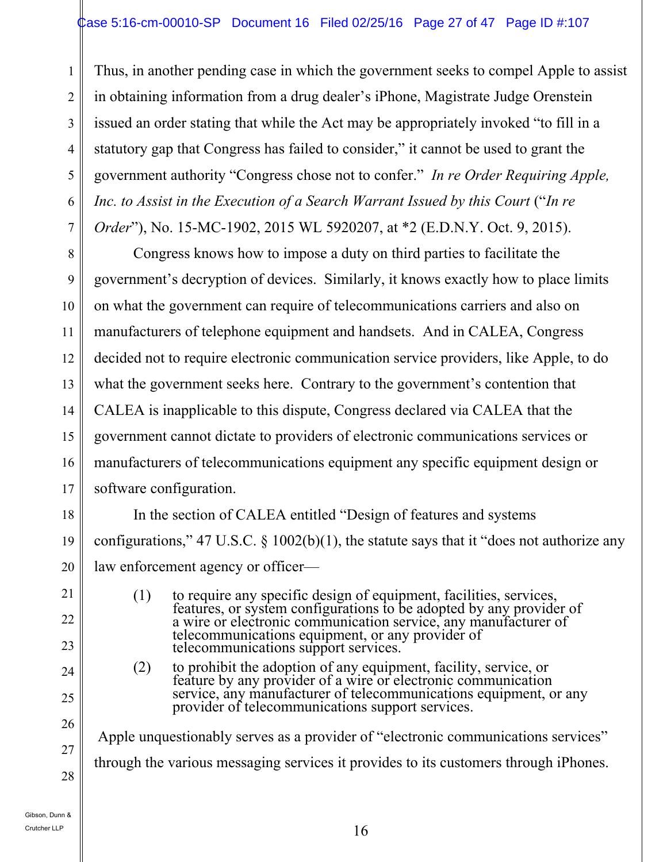Thus, in another pending case in which the government seeks to compel Apple to assist in obtaining information from a drug dealer's iPhone, Magistrate Judge Orenstein issued an order stating that while the Act may be appropriately invoked "to fill in a statutory gap that Congress has failed to consider," it cannot be used to grant the government authority "Congress chose not to confer." *In re Order Requiring Apple,*  Inc. to Assist in the Execution of a Search Warrant Issued by this Court ("In re *Order*"), No. 15-MC-1902, 2015 WL 5920207, at \*2 (E.D.N.Y. Oct. 9, 2015).

8 9 10 11 12 13 14 15 16 17 Congress knows how to impose a duty on third parties to facilitate the government's decryption of devices. Similarly, it knows exactly how to place limits on what the government can require of telecommunications carriers and also on manufacturers of telephone equipment and handsets. And in CALEA, Congress decided not to require electronic communication service providers, like Apple, to do what the government seeks here. Contrary to the government's contention that CALEA is inapplicable to this dispute, Congress declared via CALEA that the government cannot dictate to providers of electronic communications services or manufacturers of telecommunications equipment any specific equipment design or software configuration.

18 19 20 In the section of CALEA entitled "Design of features and systems configurations," 47 U.S.C.  $\frac{1002(b)}{1}$ , the statute says that it "does not authorize any law enforcement agency or officer—

- (1) to require any specific design of equipment, facilities, services, features, or system configurations to be adopted by any provider of a wire or electronic communication service, any manufacturer of telecommunications equipment, or any provider of telecommunications support services.
- (2) to prohibit the adoption of any equipment, facility, service, or feature by any provider of a wire or electronic communication service, any manufacturer of telecommunications equipment, or any provider of telecommunications support services.

 Apple unquestionably serves as a provider of "electronic communications services" through the various messaging services it provides to its customers through iPhones.

Gibson, Dunn & Crutcher LLP

21

22

23

24

25

26

27

28

1

2

3

4

5

6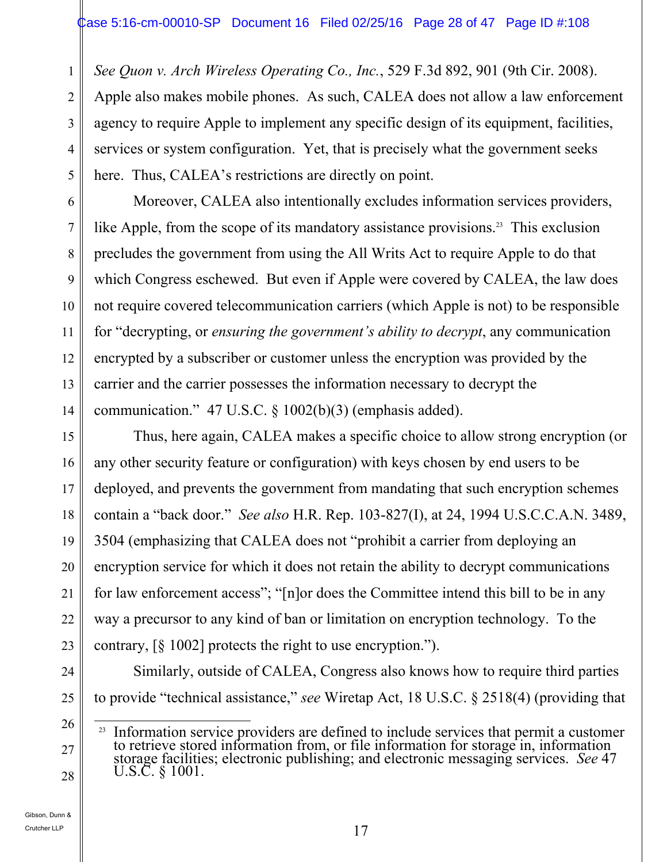*See Quon v. Arch Wireless Operating Co., Inc.*, 529 F.3d 892, 901 (9th Cir. 2008). Apple also makes mobile phones. As such, CALEA does not allow a law enforcement agency to require Apple to implement any specific design of its equipment, facilities, services or system configuration. Yet, that is precisely what the government seeks here. Thus, CALEA's restrictions are directly on point.

Moreover, CALEA also intentionally excludes information services providers, like Apple, from the scope of its mandatory assistance provisions.<sup>23</sup> This exclusion precludes the government from using the All Writs Act to require Apple to do that which Congress eschewed. But even if Apple were covered by CALEA, the law does not require covered telecommunication carriers (which Apple is not) to be responsible for "decrypting, or *ensuring the government's ability to decrypt*, any communication encrypted by a subscriber or customer unless the encryption was provided by the carrier and the carrier possesses the information necessary to decrypt the communication." 47 U.S.C. § 1002(b)(3) (emphasis added).

15 16 17 18 19 20 21 22 23 Thus, here again, CALEA makes a specific choice to allow strong encryption (or any other security feature or configuration) with keys chosen by end users to be deployed, and prevents the government from mandating that such encryption schemes contain a "back door." *See also* H.R. Rep. 103-827(I), at 24, 1994 U.S.C.C.A.N. 3489, 3504 (emphasizing that CALEA does not "prohibit a carrier from deploying an encryption service for which it does not retain the ability to decrypt communications for law enforcement access"; "[n]or does the Committee intend this bill to be in any way a precursor to any kind of ban or limitation on encryption technology. To the contrary, [§ 1002] protects the right to use encryption.").

24

1

2

3

4

5

6

7

8

9

10

11

12

13

14

25

26

27

28

Similarly, outside of CALEA, Congress also knows how to require third parties to provide "technical assistance," *see* Wiretap Act, 18 U.S.C. § 2518(4) (providing that

 $\overline{a}$ <sup>23</sup> Information service providers are defined to include services that permit a customer<br>to retrieve stored information from, or file information for storage in, information<br>storage facilities; electronic publishing; and U.S.C. § 1001.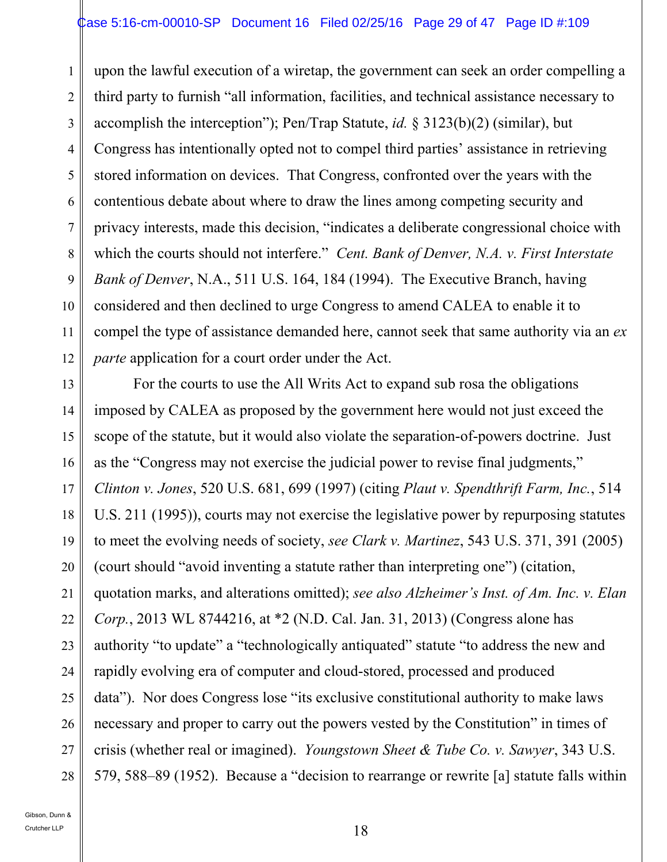1 2 3 4 5 6 7 8 9 10 11 12 upon the lawful execution of a wiretap, the government can seek an order compelling a third party to furnish "all information, facilities, and technical assistance necessary to accomplish the interception"); Pen/Trap Statute, *id.* § 3123(b)(2) (similar), but Congress has intentionally opted not to compel third parties' assistance in retrieving stored information on devices. That Congress, confronted over the years with the contentious debate about where to draw the lines among competing security and privacy interests, made this decision, "indicates a deliberate congressional choice with which the courts should not interfere." *Cent. Bank of Denver, N.A. v. First Interstate Bank of Denver*, N.A., 511 U.S. 164, 184 (1994). The Executive Branch, having considered and then declined to urge Congress to amend CALEA to enable it to compel the type of assistance demanded here, cannot seek that same authority via an *ex parte* application for a court order under the Act.

13 14 15 16 17 18 19 20 21 22 23 24 25 26 27 28 For the courts to use the All Writs Act to expand sub rosa the obligations imposed by CALEA as proposed by the government here would not just exceed the scope of the statute, but it would also violate the separation-of-powers doctrine. Just as the "Congress may not exercise the judicial power to revise final judgments," *Clinton v. Jones*, 520 U.S. 681, 699 (1997) (citing *Plaut v. Spendthrift Farm, Inc.*, 514 U.S. 211 (1995)), courts may not exercise the legislative power by repurposing statutes to meet the evolving needs of society, *see Clark v. Martinez*, 543 U.S. 371, 391 (2005) (court should "avoid inventing a statute rather than interpreting one") (citation, quotation marks, and alterations omitted); *see also Alzheimer's Inst. of Am. Inc. v. Elan Corp.*, 2013 WL 8744216, at \*2 (N.D. Cal. Jan. 31, 2013) (Congress alone has authority "to update" a "technologically antiquated" statute "to address the new and rapidly evolving era of computer and cloud-stored, processed and produced data"). Nor does Congress lose "its exclusive constitutional authority to make laws necessary and proper to carry out the powers vested by the Constitution" in times of crisis (whether real or imagined). *Youngstown Sheet & Tube Co. v. Sawyer*, 343 U.S. 579, 588–89 (1952). Because a "decision to rearrange or rewrite [a] statute falls within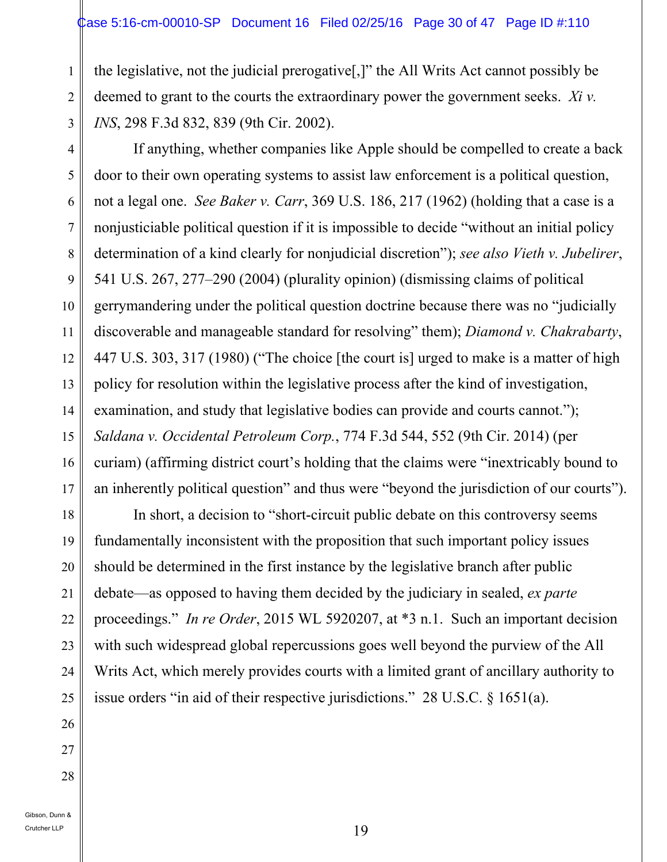the legislative, not the judicial prerogative[,]" the All Writs Act cannot possibly be deemed to grant to the courts the extraordinary power the government seeks. *Xi v. INS*, 298 F.3d 832, 839 (9th Cir. 2002).

If anything, whether companies like Apple should be compelled to create a back door to their own operating systems to assist law enforcement is a political question, not a legal one. *See Baker v. Carr*, 369 U.S. 186, 217 (1962) (holding that a case is a nonjusticiable political question if it is impossible to decide "without an initial policy determination of a kind clearly for nonjudicial discretion"); *see also Vieth v. Jubelirer*, 541 U.S. 267, 277–290 (2004) (plurality opinion) (dismissing claims of political gerrymandering under the political question doctrine because there was no "judicially discoverable and manageable standard for resolving" them); *Diamond v. Chakrabarty*, 447 U.S. 303, 317 (1980) ("The choice [the court is] urged to make is a matter of high policy for resolution within the legislative process after the kind of investigation, examination, and study that legislative bodies can provide and courts cannot."); *Saldana v. Occidental Petroleum Corp.*, 774 F.3d 544, 552 (9th Cir. 2014) (per curiam) (affirming district court's holding that the claims were "inextricably bound to an inherently political question" and thus were "beyond the jurisdiction of our courts").

In short, a decision to "short-circuit public debate on this controversy seems fundamentally inconsistent with the proposition that such important policy issues should be determined in the first instance by the legislative branch after public debate—as opposed to having them decided by the judiciary in sealed, *ex parte* proceedings." *In re Order*, 2015 WL 5920207, at \*3 n.1. Such an important decision with such widespread global repercussions goes well beyond the purview of the All Writs Act, which merely provides courts with a limited grant of ancillary authority to issue orders "in aid of their respective jurisdictions." 28 U.S.C. § 1651(a).

Gibson, Dunn & Crutcher LLP

1

2

3

4

5

6

7

8

9

10

11

12

13

14

15

16

17

18

19

20

21

22

23

24

25

26

27

28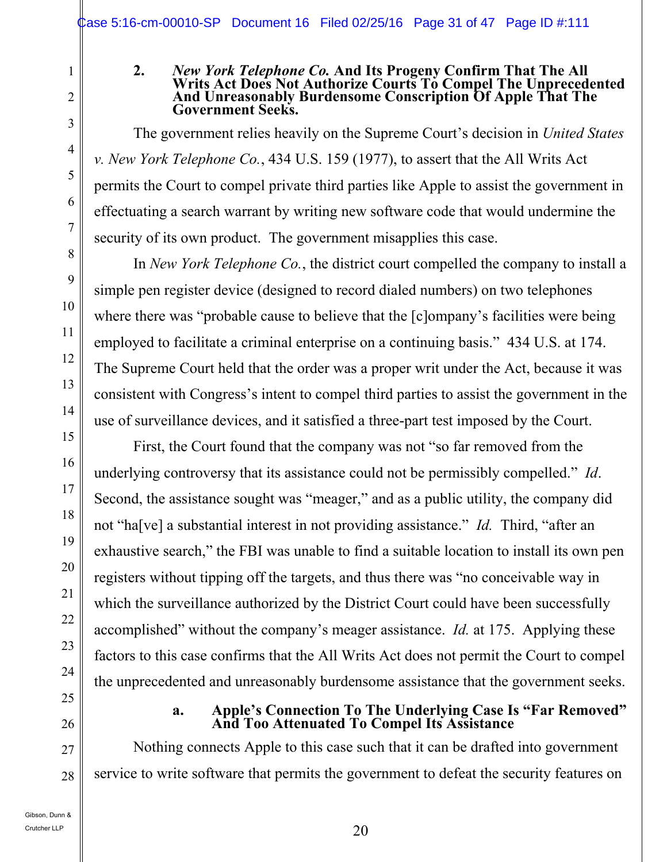1

2

3

4

5

6

7

8

9

10

11

12

13

14

15

16

17

18

19

20

21

22

23

24

25

26

27

28

# 2. New York Telephone Co. And Its Progeny Confirm That The All<br>Writs Act Does Not Authorize Courts To Compel The Unprecedented<br>And Unreasonably Burdensome Conscription Of Apple That The<br>Government Seeks.

The government relies heavily on the Supreme Court's decision in *United States v. New York Telephone Co.*, 434 U.S. 159 (1977), to assert that the All Writs Act permits the Court to compel private third parties like Apple to assist the government in effectuating a search warrant by writing new software code that would undermine the security of its own product. The government misapplies this case.

In *New York Telephone Co.*, the district court compelled the company to install a simple pen register device (designed to record dialed numbers) on two telephones where there was "probable cause to believe that the [c]ompany's facilities were being employed to facilitate a criminal enterprise on a continuing basis." 434 U.S. at 174. The Supreme Court held that the order was a proper writ under the Act, because it was consistent with Congress's intent to compel third parties to assist the government in the use of surveillance devices, and it satisfied a three-part test imposed by the Court.

First, the Court found that the company was not "so far removed from the underlying controversy that its assistance could not be permissibly compelled." *Id*. Second, the assistance sought was "meager," and as a public utility, the company did not "ha[ve] a substantial interest in not providing assistance." *Id.* Third, "after an exhaustive search," the FBI was unable to find a suitable location to install its own pen registers without tipping off the targets, and thus there was "no conceivable way in which the surveillance authorized by the District Court could have been successfully accomplished" without the company's meager assistance. *Id.* at 175. Applying these factors to this case confirms that the All Writs Act does not permit the Court to compel the unprecedented and unreasonably burdensome assistance that the government seeks.

# **a. Apple's Connection To The Underlying Case Is "Far Removed" And Too Attenuated To Compel Its Assistance**

Nothing connects Apple to this case such that it can be drafted into government service to write software that permits the government to defeat the security features on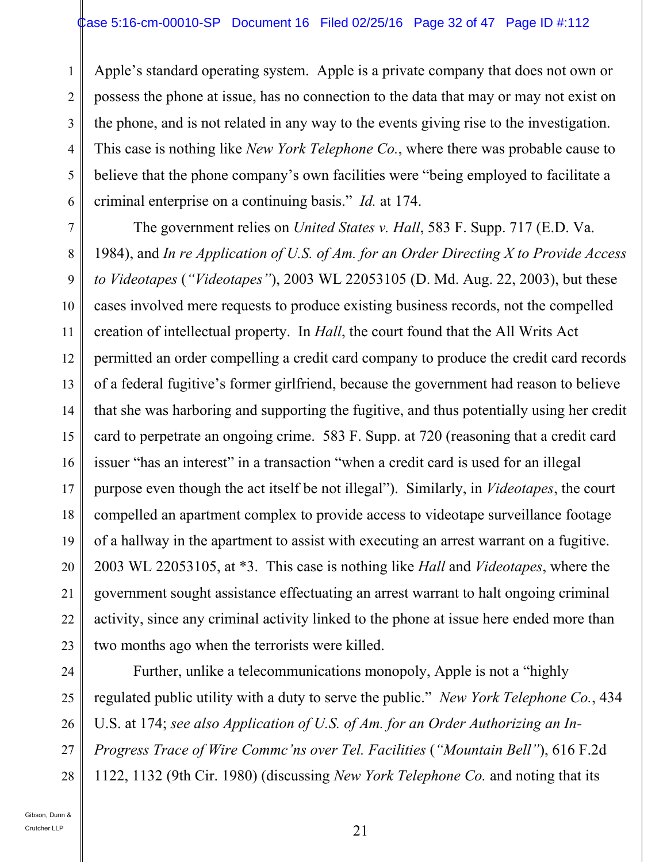1 2 3 4 5 6 Apple's standard operating system. Apple is a private company that does not own or possess the phone at issue, has no connection to the data that may or may not exist on the phone, and is not related in any way to the events giving rise to the investigation. This case is nothing like *New York Telephone Co.*, where there was probable cause to believe that the phone company's own facilities were "being employed to facilitate a criminal enterprise on a continuing basis." *Id.* at 174.

7 8 9 12 The government relies on *United States v. Hall*, 583 F. Supp. 717 (E.D. Va. 1984), and *In re Application of U.S. of Am. for an Order Directing X to Provide Access to Videotapes* (*"Videotapes"*), 2003 WL 22053105 (D. Md. Aug. 22, 2003), but these cases involved mere requests to produce existing business records, not the compelled creation of intellectual property. In *Hall*, the court found that the All Writs Act permitted an order compelling a credit card company to produce the credit card records of a federal fugitive's former girlfriend, because the government had reason to believe that she was harboring and supporting the fugitive, and thus potentially using her credit card to perpetrate an ongoing crime. 583 F. Supp. at 720 (reasoning that a credit card issuer "has an interest" in a transaction "when a credit card is used for an illegal purpose even though the act itself be not illegal"). Similarly, in *Videotapes*, the court compelled an apartment complex to provide access to videotape surveillance footage of a hallway in the apartment to assist with executing an arrest warrant on a fugitive. 2003 WL 22053105, at \*3. This case is nothing like *Hall* and *Videotapes*, where the government sought assistance effectuating an arrest warrant to halt ongoing criminal activity, since any criminal activity linked to the phone at issue here ended more than two months ago when the terrorists were killed.

10

11

13

14

15

16

17

18

19

Further, unlike a telecommunications monopoly, Apple is not a "highly regulated public utility with a duty to serve the public." *New York Telephone Co.*, 434 U.S. at 174; *see also Application of U.S. of Am. for an Order Authorizing an In-Progress Trace of Wire Commc'ns over Tel. Facilities* (*"Mountain Bell"*), 616 F.2d 1122, 1132 (9th Cir. 1980) (discussing *New York Telephone Co.* and noting that its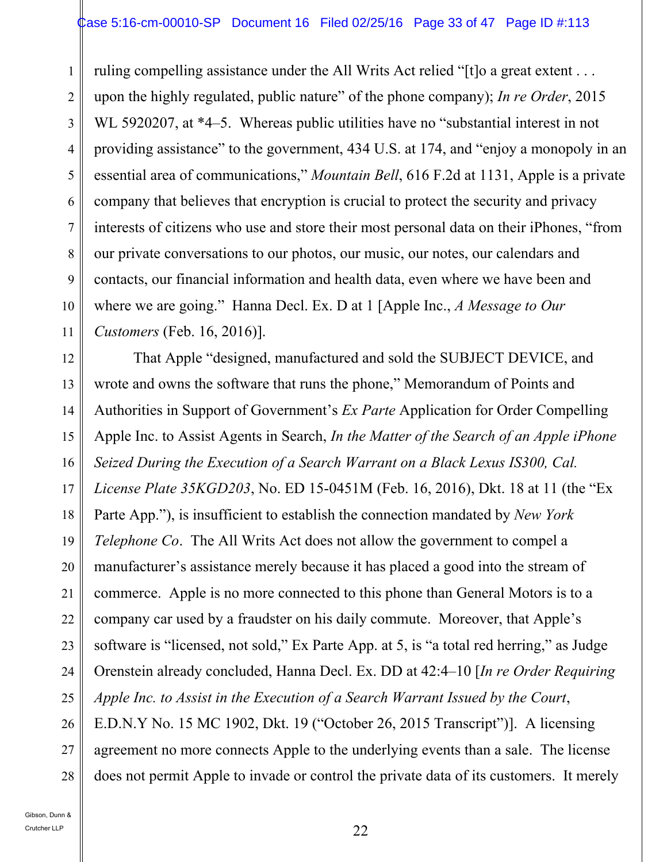1 2 3 4 5 6 7 8 9 10 11 ruling compelling assistance under the All Writs Act relied "[t]o a great extent . . . upon the highly regulated, public nature" of the phone company); *In re Order*, 2015 WL 5920207, at  $*4-5$ . Whereas public utilities have no "substantial interest in not providing assistance" to the government, 434 U.S. at 174, and "enjoy a monopoly in an essential area of communications," *Mountain Bell*, 616 F.2d at 1131, Apple is a private company that believes that encryption is crucial to protect the security and privacy interests of citizens who use and store their most personal data on their iPhones, "from our private conversations to our photos, our music, our notes, our calendars and contacts, our financial information and health data, even where we have been and where we are going." Hanna Decl. Ex. D at 1 [Apple Inc., *A Message to Our Customers* (Feb. 16, 2016)].

12 13 14 15 16 17 18 19 20 21 22 23 24 25 26 27 28 That Apple "designed, manufactured and sold the SUBJECT DEVICE, and wrote and owns the software that runs the phone," Memorandum of Points and Authorities in Support of Government's *Ex Parte* Application for Order Compelling Apple Inc. to Assist Agents in Search, *In the Matter of the Search of an Apple iPhone Seized During the Execution of a Search Warrant on a Black Lexus IS300, Cal. License Plate 35KGD203*, No. ED 15-0451M (Feb. 16, 2016), Dkt. 18 at 11 (the "Ex Parte App."), is insufficient to establish the connection mandated by *New York Telephone Co*. The All Writs Act does not allow the government to compel a manufacturer's assistance merely because it has placed a good into the stream of commerce. Apple is no more connected to this phone than General Motors is to a company car used by a fraudster on his daily commute. Moreover, that Apple's software is "licensed, not sold," Ex Parte App. at 5, is "a total red herring," as Judge Orenstein already concluded, Hanna Decl. Ex. DD at 42:4–10 [*In re Order Requiring Apple Inc. to Assist in the Execution of a Search Warrant Issued by the Court*, E.D.N.Y No. 15 MC 1902, Dkt. 19 ("October 26, 2015 Transcript")]. A licensing agreement no more connects Apple to the underlying events than a sale. The license does not permit Apple to invade or control the private data of its customers. It merely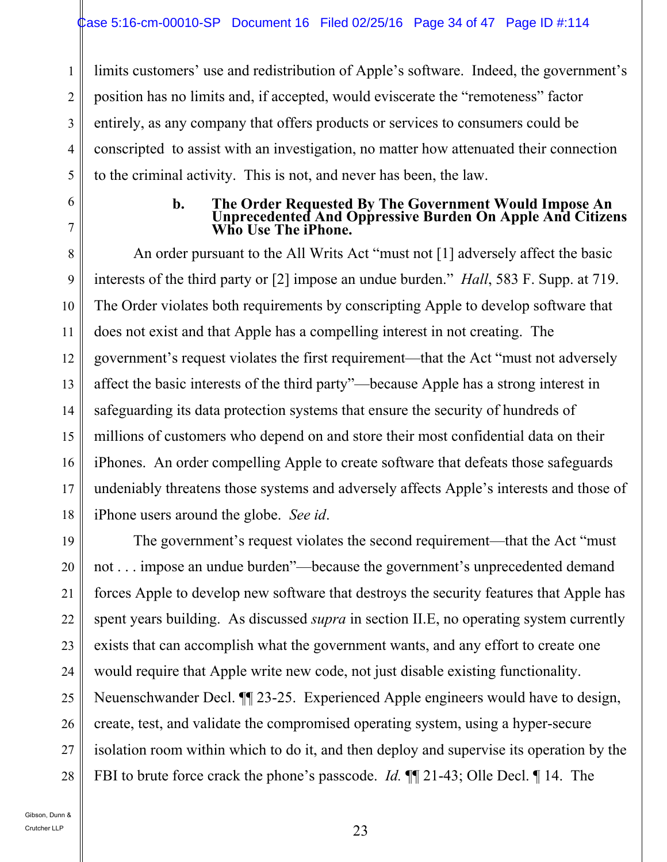1 2 3 4 5 limits customers' use and redistribution of Apple's software. Indeed, the government's position has no limits and, if accepted, would eviscerate the "remoteness" factor entirely, as any company that offers products or services to consumers could be conscripted to assist with an investigation, no matter how attenuated their connection to the criminal activity. This is not, and never has been, the law.

### 6 7 8 9

# **b. The Order Requested By The Government Would Impose An Unprecedented And Oppressive Burden On Apple And Citizens Who Use The iPhone.**

10 11 12 13 14 15 16 17 18 An order pursuant to the All Writs Act "must not [1] adversely affect the basic interests of the third party or [2] impose an undue burden." *Hall*, 583 F. Supp. at 719. The Order violates both requirements by conscripting Apple to develop software that does not exist and that Apple has a compelling interest in not creating. The government's request violates the first requirement—that the Act "must not adversely affect the basic interests of the third party"—because Apple has a strong interest in safeguarding its data protection systems that ensure the security of hundreds of millions of customers who depend on and store their most confidential data on their iPhones. An order compelling Apple to create software that defeats those safeguards undeniably threatens those systems and adversely affects Apple's interests and those of iPhone users around the globe. *See id*.

19 20 21 22 23 24 25 26 27 28 The government's request violates the second requirement—that the Act "must not . . . impose an undue burden"—because the government's unprecedented demand forces Apple to develop new software that destroys the security features that Apple has spent years building. As discussed *supra* in section II.E, no operating system currently exists that can accomplish what the government wants, and any effort to create one would require that Apple write new code, not just disable existing functionality. Neuenschwander Decl. ¶¶ 23-25. Experienced Apple engineers would have to design, create, test, and validate the compromised operating system, using a hyper-secure isolation room within which to do it, and then deploy and supervise its operation by the FBI to brute force crack the phone's passcode. *Id.* ¶¶ 21-43; Olle Decl. ¶ 14. The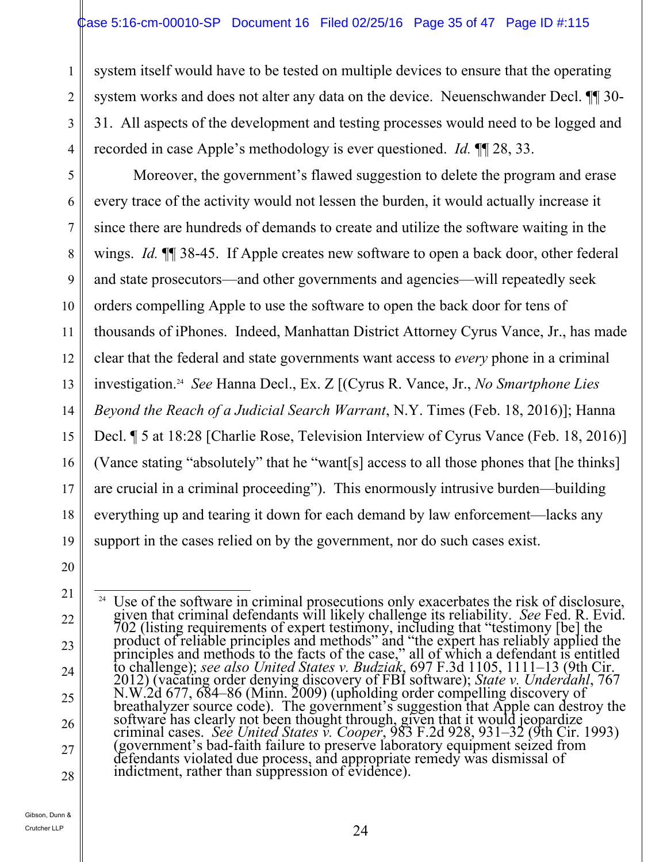system itself would have to be tested on multiple devices to ensure that the operating system works and does not alter any data on the device. Neuenschwander Decl. ¶¶ 30- 31. All aspects of the development and testing processes would need to be logged and recorded in case Apple's methodology is ever questioned. *Id.* ¶¶ 28, 33.

5 6 7 8 9 10 11 12 13 14 15 16 17 18 Moreover, the government's flawed suggestion to delete the program and erase every trace of the activity would not lessen the burden, it would actually increase it since there are hundreds of demands to create and utilize the software waiting in the wings. *Id.* ¶¶ 38-45. If Apple creates new software to open a back door, other federal and state prosecutors—and other governments and agencies—will repeatedly seek orders compelling Apple to use the software to open the back door for tens of thousands of iPhones. Indeed, Manhattan District Attorney Cyrus Vance, Jr., has made clear that the federal and state governments want access to *every* phone in a criminal investigation.24 *See* Hanna Decl., Ex. Z [(Cyrus R. Vance, Jr., *No Smartphone Lies Beyond the Reach of a Judicial Search Warrant*, N.Y. Times (Feb. 18, 2016)]; Hanna Decl. ¶ 5 at 18:28 [Charlie Rose, Television Interview of Cyrus Vance (Feb. 18, 2016)] (Vance stating "absolutely" that he "want[s] access to all those phones that [he thinks] are crucial in a criminal proceeding"). This enormously intrusive burden—building everything up and tearing it down for each demand by law enforcement—lacks any support in the cases relied on by the government, nor do such cases exist.

23

24

25

26

27

28

1

2

3

 $\overline{a}$ 24 Use of the software in criminal prosecutions only exacerbates the risk of disclosure, given that criminal defendants will likely challenge its reliability. *See* Fed. R. Evid. 702 (listing requirements of expert testimony, including that "testimony [be] the product of reliable principles and methods" and "the expert has reliably applied the principles and methods to the facts of the case," all o to challenge); *see also United States v. Budziak*, 697 F.3d 1105, 1111–13 (9th Cir. 2012) (vacating order denying discovery of FBI software); *State v. Underdahl*, 767 N.W.2d 677, 684–86 (Minn. 2009) (upholding order comp indictment, rather than suppression of evidence).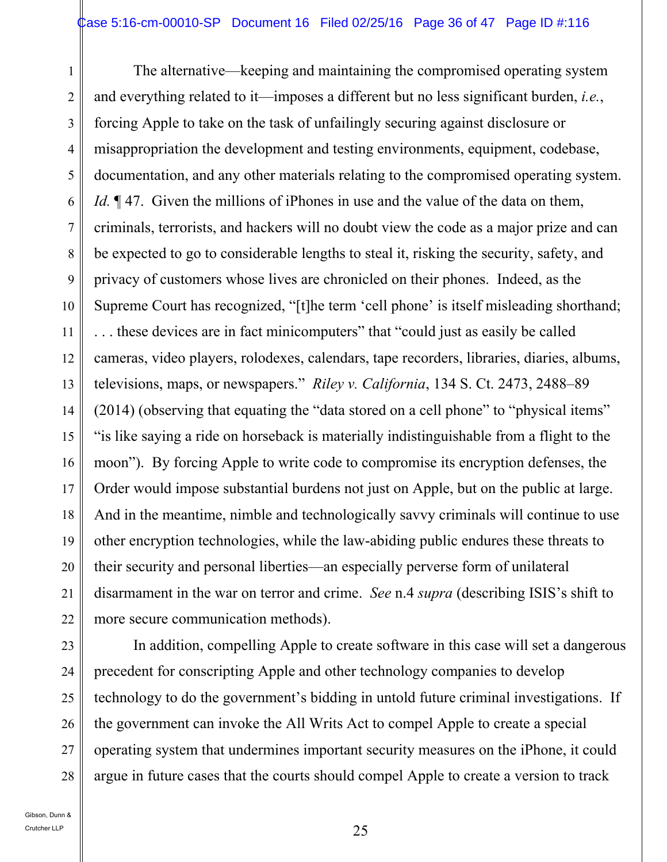1 2 3 4 5 6 7 8 9 10 11 12 13 14 15 16 17 18 19 20 The alternative—keeping and maintaining the compromised operating system and everything related to it—imposes a different but no less significant burden, *i.e.*, forcing Apple to take on the task of unfailingly securing against disclosure or misappropriation the development and testing environments, equipment, codebase, documentation, and any other materials relating to the compromised operating system. *Id.*  $\P$  47. Given the millions of iPhones in use and the value of the data on them, criminals, terrorists, and hackers will no doubt view the code as a major prize and can be expected to go to considerable lengths to steal it, risking the security, safety, and privacy of customers whose lives are chronicled on their phones. Indeed, as the Supreme Court has recognized, "[t]he term 'cell phone' is itself misleading shorthand; . . . these devices are in fact minicomputers" that "could just as easily be called cameras, video players, rolodexes, calendars, tape recorders, libraries, diaries, albums, televisions, maps, or newspapers." *Riley v. California*, 134 S. Ct. 2473, 2488–89 (2014) (observing that equating the "data stored on a cell phone" to "physical items" "is like saying a ride on horseback is materially indistinguishable from a flight to the moon"). By forcing Apple to write code to compromise its encryption defenses, the Order would impose substantial burdens not just on Apple, but on the public at large. And in the meantime, nimble and technologically savvy criminals will continue to use other encryption technologies, while the law-abiding public endures these threats to their security and personal liberties—an especially perverse form of unilateral disarmament in the war on terror and crime. *See* n.4 *supra* (describing ISIS's shift to more secure communication methods).

28

In addition, compelling Apple to create software in this case will set a dangerous precedent for conscripting Apple and other technology companies to develop technology to do the government's bidding in untold future criminal investigations. If the government can invoke the All Writs Act to compel Apple to create a special operating system that undermines important security measures on the iPhone, it could argue in future cases that the courts should compel Apple to create a version to track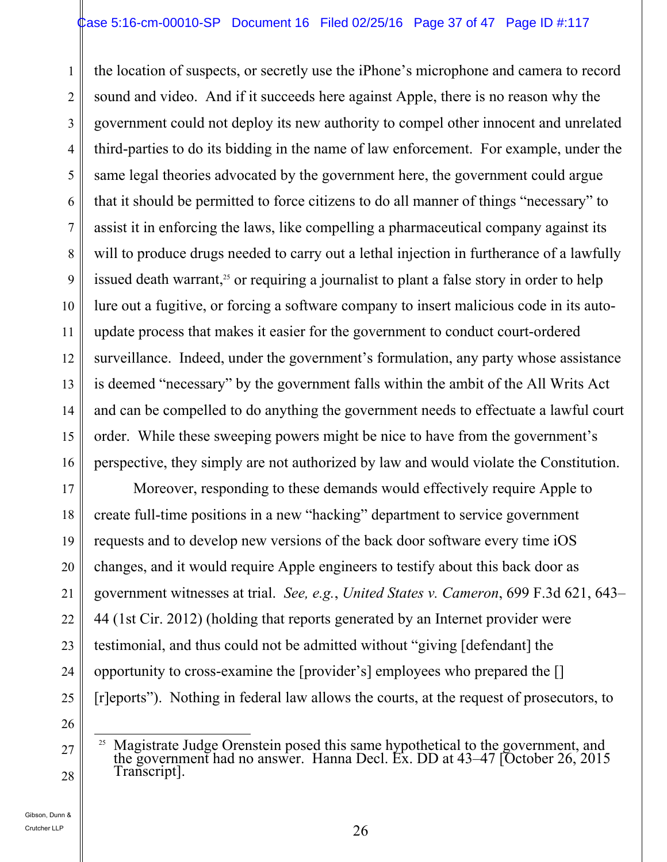1 2 3 4 5 6 7 8 9 10 11 12 13 14 15 16 the location of suspects, or secretly use the iPhone's microphone and camera to record sound and video. And if it succeeds here against Apple, there is no reason why the government could not deploy its new authority to compel other innocent and unrelated third-parties to do its bidding in the name of law enforcement. For example, under the same legal theories advocated by the government here, the government could argue that it should be permitted to force citizens to do all manner of things "necessary" to assist it in enforcing the laws, like compelling a pharmaceutical company against its will to produce drugs needed to carry out a lethal injection in furtherance of a lawfully issued death warrant,<sup> $25$ </sup> or requiring a journalist to plant a false story in order to help lure out a fugitive, or forcing a software company to insert malicious code in its autoupdate process that makes it easier for the government to conduct court-ordered surveillance. Indeed, under the government's formulation, any party whose assistance is deemed "necessary" by the government falls within the ambit of the All Writs Act and can be compelled to do anything the government needs to effectuate a lawful court order. While these sweeping powers might be nice to have from the government's perspective, they simply are not authorized by law and would violate the Constitution.

17 18 19 20 21 22 23 24 25 Moreover, responding to these demands would effectively require Apple to create full-time positions in a new "hacking" department to service government requests and to develop new versions of the back door software every time iOS changes, and it would require Apple engineers to testify about this back door as government witnesses at trial. *See, e.g.*, *United States v. Cameron*, 699 F.3d 621, 643– 44 (1st Cir. 2012) (holding that reports generated by an Internet provider were testimonial, and thus could not be admitted without "giving [defendant] the opportunity to cross-examine the [provider's] employees who prepared the [] [r]eports"). Nothing in federal law allows the courts, at the request of prosecutors, to

27

<sup>26</sup>

 $\overline{a}$ 25 Magistrate Judge Orenstein posed this same hypothetical to the government, and the government had no answer. Hanna Decl. Ex. DD at 43–47 [October 26, 2015 Transcript].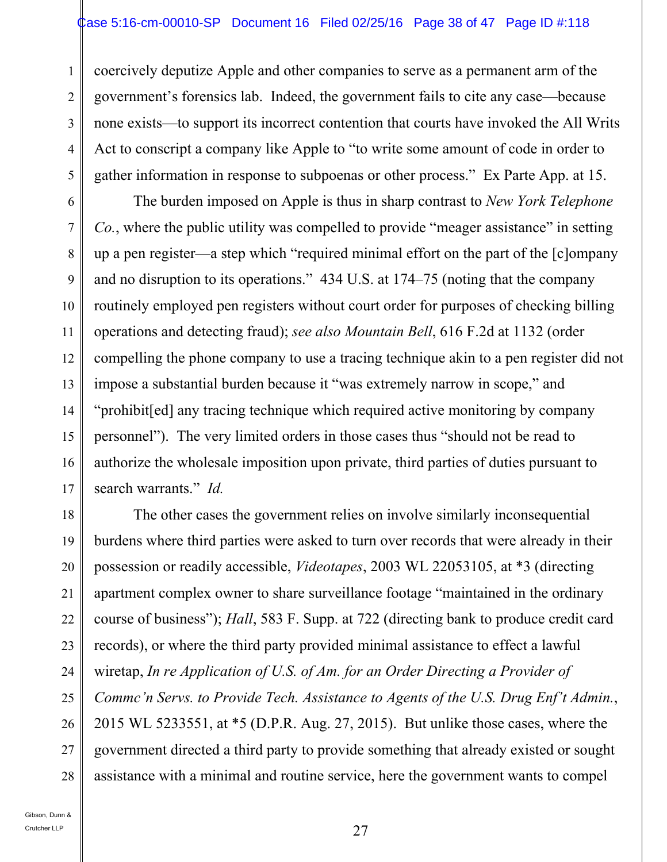coercively deputize Apple and other companies to serve as a permanent arm of the government's forensics lab. Indeed, the government fails to cite any case—because none exists—to support its incorrect contention that courts have invoked the All Writs Act to conscript a company like Apple to "to write some amount of code in order to gather information in response to subpoenas or other process." Ex Parte App. at 15.

The burden imposed on Apple is thus in sharp contrast to *New York Telephone Co.*, where the public utility was compelled to provide "meager assistance" in setting up a pen register—a step which "required minimal effort on the part of the [c]ompany and no disruption to its operations." 434 U.S. at 174–75 (noting that the company routinely employed pen registers without court order for purposes of checking billing operations and detecting fraud); *see also Mountain Bell*, 616 F.2d at 1132 (order compelling the phone company to use a tracing technique akin to a pen register did not impose a substantial burden because it "was extremely narrow in scope," and "prohibit[ed] any tracing technique which required active monitoring by company personnel"). The very limited orders in those cases thus "should not be read to authorize the wholesale imposition upon private, third parties of duties pursuant to search warrants." *Id.*

18 19 20 21 22 23 24 25 26 27 28 The other cases the government relies on involve similarly inconsequential burdens where third parties were asked to turn over records that were already in their possession or readily accessible, *Videotapes*, 2003 WL 22053105, at \*3 (directing apartment complex owner to share surveillance footage "maintained in the ordinary course of business"); *Hall*, 583 F. Supp. at 722 (directing bank to produce credit card records), or where the third party provided minimal assistance to effect a lawful wiretap, *In re Application of U.S. of Am. for an Order Directing a Provider of Commc'n Servs. to Provide Tech. Assistance to Agents of the U.S. Drug Enf't Admin.*, 2015 WL 5233551, at \*5 (D.P.R. Aug. 27, 2015). But unlike those cases, where the government directed a third party to provide something that already existed or sought assistance with a minimal and routine service, here the government wants to compel

1

2

3

4

5

6

7

8

9

10

11

12

13

14

15

16

17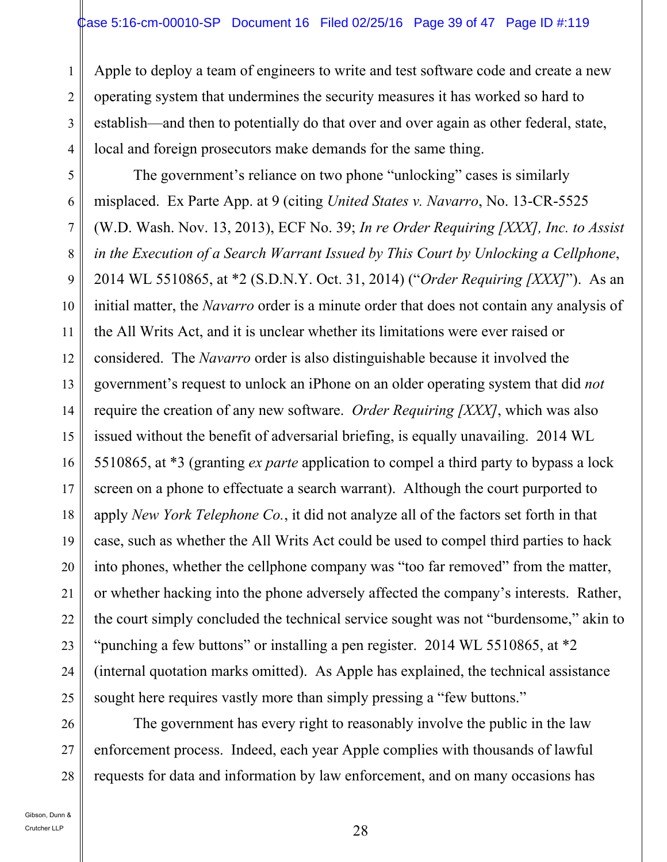Apple to deploy a team of engineers to write and test software code and create a new operating system that undermines the security measures it has worked so hard to establish—and then to potentially do that over and over again as other federal, state, local and foreign prosecutors make demands for the same thing.

5 6 7 8 9 10 11 12 13 14 15 16 17 18 19 20 21 22 23 24 25 The government's reliance on two phone "unlocking" cases is similarly misplaced. Ex Parte App. at 9 (citing *United States v. Navarro*, No. 13-CR-5525 (W.D. Wash. Nov. 13, 2013), ECF No. 39; *In re Order Requiring [XXX], Inc. to Assist in the Execution of a Search Warrant Issued by This Court by Unlocking a Cellphone*, 2014 WL 5510865, at \*2 (S.D.N.Y. Oct. 31, 2014) ("*Order Requiring [XXX]*"). As an initial matter, the *Navarro* order is a minute order that does not contain any analysis of the All Writs Act, and it is unclear whether its limitations were ever raised or considered. The *Navarro* order is also distinguishable because it involved the government's request to unlock an iPhone on an older operating system that did *not* require the creation of any new software. *Order Requiring [XXX]*, which was also issued without the benefit of adversarial briefing, is equally unavailing. 2014 WL 5510865, at \*3 (granting *ex parte* application to compel a third party to bypass a lock screen on a phone to effectuate a search warrant). Although the court purported to apply *New York Telephone Co.*, it did not analyze all of the factors set forth in that case, such as whether the All Writs Act could be used to compel third parties to hack into phones, whether the cellphone company was "too far removed" from the matter, or whether hacking into the phone adversely affected the company's interests. Rather, the court simply concluded the technical service sought was not "burdensome," akin to "punching a few buttons" or installing a pen register. 2014 WL 5510865, at \*2 (internal quotation marks omitted). As Apple has explained, the technical assistance sought here requires vastly more than simply pressing a "few buttons."

 The government has every right to reasonably involve the public in the law enforcement process. Indeed, each year Apple complies with thousands of lawful requests for data and information by law enforcement, and on many occasions has

26

27

28

1

2

3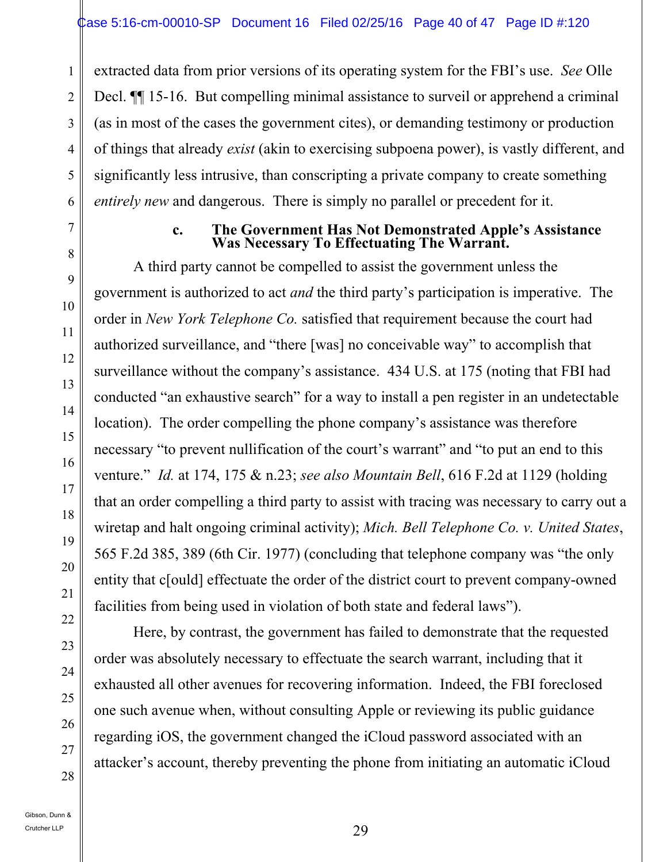extracted data from prior versions of its operating system for the FBI's use. *See* Olle Decl.  $\P$  15-16. But compelling minimal assistance to surveil or apprehend a criminal (as in most of the cases the government cites), or demanding testimony or production of things that already *exist* (akin to exercising subpoena power), is vastly different, and significantly less intrusive, than conscripting a private company to create something *entirely new* and dangerous. There is simply no parallel or precedent for it.

# **c. The Government Has Not Demonstrated Apple's Assistance Was Necessary To Effectuating The Warrant.**

A third party cannot be compelled to assist the government unless the government is authorized to act *and* the third party's participation is imperative. The order in *New York Telephone Co.* satisfied that requirement because the court had authorized surveillance, and "there [was] no conceivable way" to accomplish that surveillance without the company's assistance. 434 U.S. at 175 (noting that FBI had conducted "an exhaustive search" for a way to install a pen register in an undetectable location). The order compelling the phone company's assistance was therefore necessary "to prevent nullification of the court's warrant" and "to put an end to this venture." *Id.* at 174, 175 & n.23; *see also Mountain Bell*, 616 F.2d at 1129 (holding that an order compelling a third party to assist with tracing was necessary to carry out a wiretap and halt ongoing criminal activity); *Mich. Bell Telephone Co. v. United States*, 565 F.2d 385, 389 (6th Cir. 1977) (concluding that telephone company was "the only entity that c[ould] effectuate the order of the district court to prevent company-owned facilities from being used in violation of both state and federal laws").

Here, by contrast, the government has failed to demonstrate that the requested order was absolutely necessary to effectuate the search warrant, including that it exhausted all other avenues for recovering information. Indeed, the FBI foreclosed one such avenue when, without consulting Apple or reviewing its public guidance regarding iOS, the government changed the iCloud password associated with an attacker's account, thereby preventing the phone from initiating an automatic iCloud

1

2

Gibson, Dunn & Crutcher LLP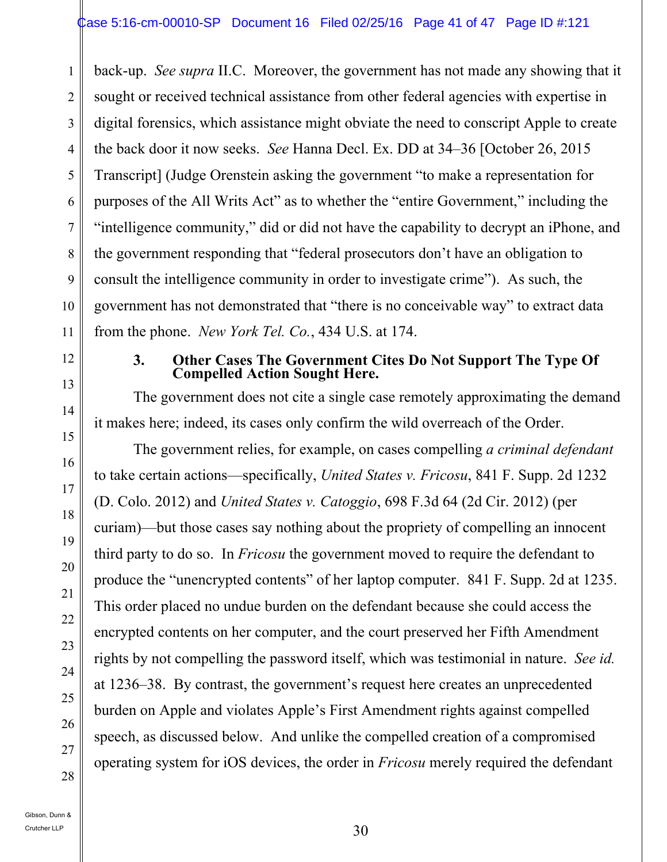1 2 3 4 5 6 7 8 9 10 11 back-up. *See supra* II.C. Moreover, the government has not made any showing that it sought or received technical assistance from other federal agencies with expertise in digital forensics, which assistance might obviate the need to conscript Apple to create the back door it now seeks. *See* Hanna Decl. Ex. DD at 34–36 [October 26, 2015 Transcript] (Judge Orenstein asking the government "to make a representation for purposes of the All Writs Act" as to whether the "entire Government," including the "intelligence community," did or did not have the capability to decrypt an iPhone, and the government responding that "federal prosecutors don't have an obligation to consult the intelligence community in order to investigate crime"). As such, the government has not demonstrated that "there is no conceivable way" to extract data from the phone. *New York Tel. Co.*, 434 U.S. at 174.

12

13

14

15

16

17

18

19

20

21

22

23

24

25

26

27

28

# **3. Other Cases The Government Cites Do Not Support The Type Of Compelled Action Sought Here.**

The government does not cite a single case remotely approximating the demand it makes here; indeed, its cases only confirm the wild overreach of the Order.

The government relies, for example, on cases compelling *a criminal defendant* to take certain actions—specifically, *United States v. Fricosu*, 841 F. Supp. 2d 1232 (D. Colo. 2012) and *United States v. Catoggio*, 698 F.3d 64 (2d Cir. 2012) (per curiam)—but those cases say nothing about the propriety of compelling an innocent third party to do so.In *Fricosu* the government moved to require the defendant to produce the "unencrypted contents" of her laptop computer. 841 F. Supp. 2d at 1235. This order placed no undue burden on the defendant because she could access the encrypted contents on her computer, and the court preserved her Fifth Amendment rights by not compelling the password itself, which was testimonial in nature. *See id.* at 1236–38. By contrast, the government's request here creates an unprecedented burden on Apple and violates Apple's First Amendment rights against compelled speech, as discussed below. And unlike the compelled creation of a compromised operating system for iOS devices, the order in *Fricosu* merely required the defendant

Gibson, Dunn & Crutcher LLP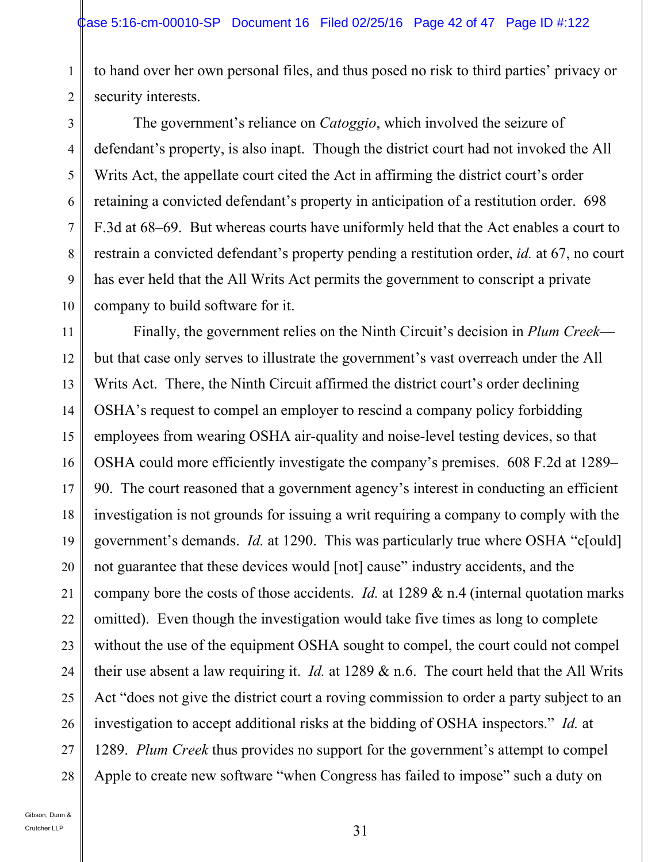to hand over her own personal files, and thus posed no risk to third parties' privacy or security interests.

The government's reliance on *Catoggio*, which involved the seizure of defendant's property, is also inapt. Though the district court had not invoked the All Writs Act, the appellate court cited the Act in affirming the district court's order retaining a convicted defendant's property in anticipation of a restitution order. 698 F.3d at 68–69. But whereas courts have uniformly held that the Act enables a court to restrain a convicted defendant's property pending a restitution order, *id.* at 67, no court has ever held that the All Writs Act permits the government to conscript a private company to build software for it.

11 12 13 14 15 16 17 18 19 20 21 22 23 24 25 26 27 28 Finally, the government relies on the Ninth Circuit's decision in *Plum Creek* but that case only serves to illustrate the government's vast overreach under the All Writs Act. There, the Ninth Circuit affirmed the district court's order declining OSHA's request to compel an employer to rescind a company policy forbidding employees from wearing OSHA air-quality and noise-level testing devices, so that OSHA could more efficiently investigate the company's premises. 608 F.2d at 1289– 90. The court reasoned that a government agency's interest in conducting an efficient investigation is not grounds for issuing a writ requiring a company to comply with the government's demands. *Id.* at 1290. This was particularly true where OSHA "c[ould] not guarantee that these devices would [not] cause" industry accidents, and the company bore the costs of those accidents. *Id.* at 1289 & n.4 (internal quotation marks omitted). Even though the investigation would take five times as long to complete without the use of the equipment OSHA sought to compel, the court could not compel their use absent a law requiring it. *Id.* at 1289 & n.6. The court held that the All Writs Act "does not give the district court a roving commission to order a party subject to an investigation to accept additional risks at the bidding of OSHA inspectors." *Id.* at 1289. *Plum Creek* thus provides no support for the government's attempt to compel Apple to create new software "when Congress has failed to impose" such a duty on

1

2

3

4

5

6

7

8

9

10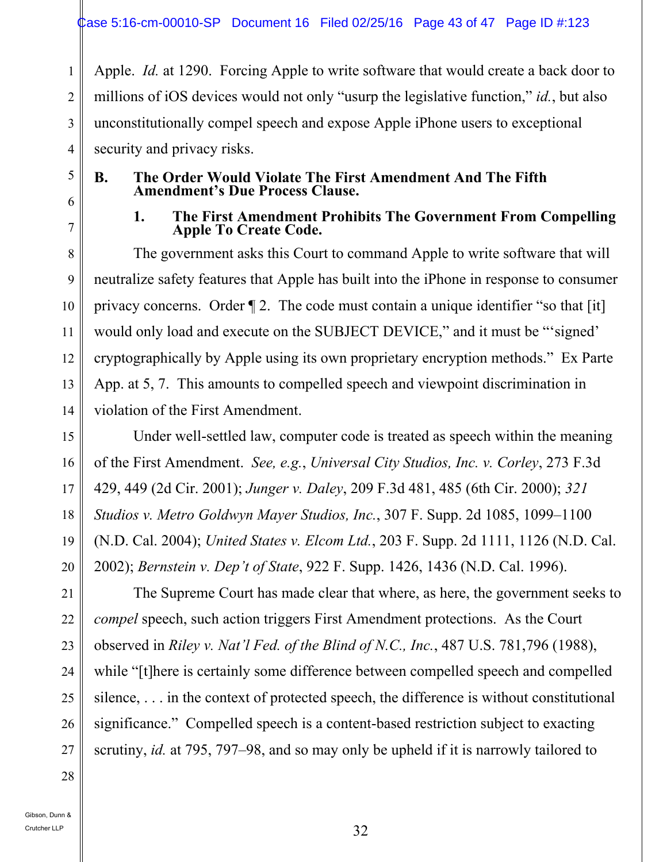2 3 Apple. *Id.* at 1290. Forcing Apple to write software that would create a back door to millions of iOS devices would not only "usurp the legislative function," *id.*, but also unconstitutionally compel speech and expose Apple iPhone users to exceptional security and privacy risks.

5 6

7

8

9

10

11

12

13

14

21

22

23

24

25

26

27

4

1

### **B. The Order Would Violate The First Amendment And The Fifth Amendment's Due Process Clause.**

# **1. The First Amendment Prohibits The Government From Compelling Apple To Create Code.**

The government asks this Court to command Apple to write software that will neutralize safety features that Apple has built into the iPhone in response to consumer privacy concerns. Order ¶ 2. The code must contain a unique identifier "so that [it] would only load and execute on the SUBJECT DEVICE," and it must be "'signed' cryptographically by Apple using its own proprietary encryption methods." Ex Parte App. at 5, 7. This amounts to compelled speech and viewpoint discrimination in violation of the First Amendment.

15 16 17 18 19 20 Under well-settled law, computer code is treated as speech within the meaning of the First Amendment. *See, e.g.*, *Universal City Studios, Inc. v. Corley*, 273 F.3d 429, 449 (2d Cir. 2001); *Junger v. Daley*, 209 F.3d 481, 485 (6th Cir. 2000); *321 Studios v. Metro Goldwyn Mayer Studios, Inc.*, 307 F. Supp. 2d 1085, 1099–1100 (N.D. Cal. 2004); *United States v. Elcom Ltd.*, 203 F. Supp. 2d 1111, 1126 (N.D. Cal. 2002); *Bernstein v. Dep't of State*, 922 F. Supp. 1426, 1436 (N.D. Cal. 1996).

The Supreme Court has made clear that where, as here, the government seeks to *compel* speech, such action triggers First Amendment protections. As the Court observed in *Riley v. Nat'l Fed. of the Blind of N.C., Inc.*, 487 U.S. 781,796 (1988), while "[t]here is certainly some difference between compelled speech and compelled silence, . . . in the context of protected speech, the difference is without constitutional significance." Compelled speech is a content-based restriction subject to exacting scrutiny, *id.* at 795, 797–98, and so may only be upheld if it is narrowly tailored to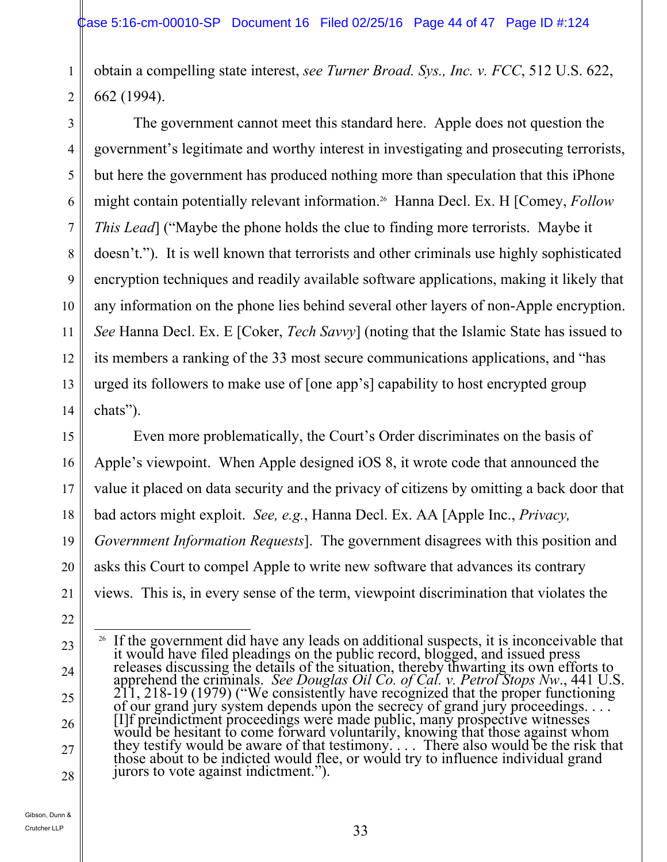obtain a compelling state interest, *see Turner Broad. Sys., Inc. v. FCC*, 512 U.S. 622, 662 (1994).

The government cannot meet this standard here. Apple does not question the government's legitimate and worthy interest in investigating and prosecuting terrorists, but here the government has produced nothing more than speculation that this iPhone might contain potentially relevant information.26 Hanna Decl. Ex. H [Comey, *Follow This Lead*] ("Maybe the phone holds the clue to finding more terrorists. Maybe it doesn't."). It is well known that terrorists and other criminals use highly sophisticated encryption techniques and readily available software applications, making it likely that any information on the phone lies behind several other layers of non-Apple encryption. *See* Hanna Decl. Ex. E [Coker, *Tech Savvy*] (noting that the Islamic State has issued to its members a ranking of the 33 most secure communications applications, and "has urged its followers to make use of [one app's] capability to host encrypted group chats").

Even more problematically, the Court's Order discriminates on the basis of Apple's viewpoint. When Apple designed iOS 8, it wrote code that announced the value it placed on data security and the privacy of citizens by omitting a back door that bad actors might exploit. *See, e.g.*, Hanna Decl. Ex. AA [Apple Inc., *Privacy, Government Information Requests*]. The government disagrees with this position and asks this Court to compel Apple to write new software that advances its contrary views. This is, in every sense of the term, viewpoint discrimination that violates the

1

2

3

4

5

6

7

8

9

10

11

12

13

14

15

16

17

18

19

20

21

22

23

24

25

26

27

28

 $\overline{a}$ If the government did have any leads on additional suspects, it is inconceivable that<br>it would have filed pleadings on the public record, blogged, and issued press<br>releases discussing the details of the situation, thereby those about to be indicted would flee, or would try to influence individual grand jurors to vote against indictment.").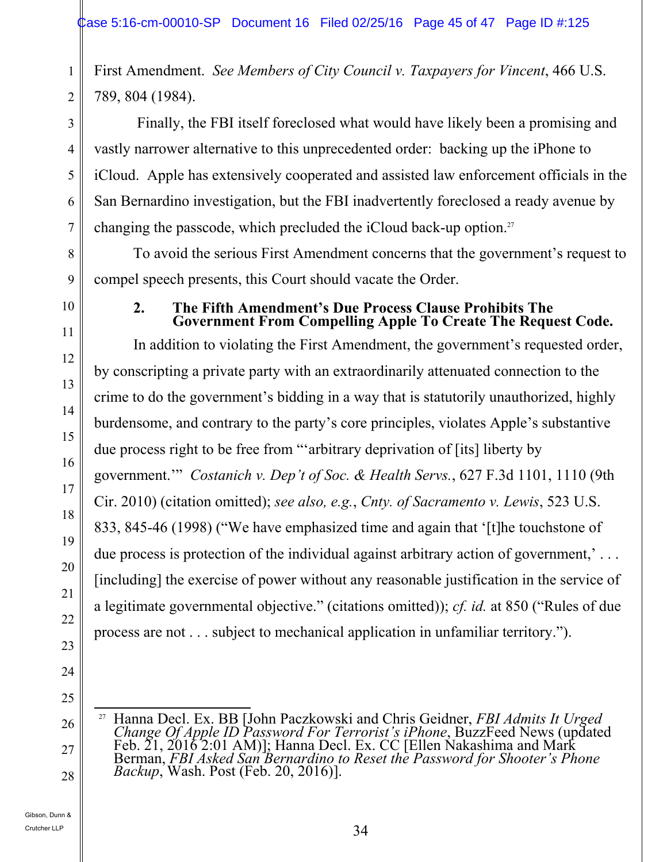First Amendment. *See Members of City Council v. Taxpayers for Vincent*, 466 U.S. 789, 804 (1984).

 Finally, the FBI itself foreclosed what would have likely been a promising and vastly narrower alternative to this unprecedented order: backing up the iPhone to iCloud. Apple has extensively cooperated and assisted law enforcement officials in the San Bernardino investigation, but the FBI inadvertently foreclosed a ready avenue by changing the passcode, which precluded the iCloud back-up option.27

 To avoid the serious First Amendment concerns that the government's request to compel speech presents, this Court should vacate the Order.

### **2. The Fifth Amendment's Due Process Clause Prohibits The Government From Compelling Apple To Create The Request Code.**

In addition to violating the First Amendment, the government's requested order, by conscripting a private party with an extraordinarily attenuated connection to the crime to do the government's bidding in a way that is statutorily unauthorized, highly burdensome, and contrary to the party's core principles, violates Apple's substantive due process right to be free from "'arbitrary deprivation of [its] liberty by government.'" *Costanich v. Dep't of Soc. & Health Servs.*, 627 F.3d 1101, 1110 (9th Cir. 2010) (citation omitted); *see also, e.g.*, *Cnty. of Sacramento v. Lewis*, 523 U.S. 833, 845-46 (1998) ("We have emphasized time and again that '[t]he touchstone of due process is protection of the individual against arbitrary action of government,' . . . [including] the exercise of power without any reasonable justification in the service of a legitimate governmental objective." (citations omitted)); *cf. id.* at 850 ("Rules of due process are not . . . subject to mechanical application in unfamiliar territory.").

25 26

1

2

3

4

5

6

7

8

9

10

11

12

13

14

15

16

17

18

19

20

21

22

23

24

27

28

34

Gibson, Dunn & Crutcher LLP

 $\overline{a}$ <sup>27</sup> Hanna Decl. Ex. BB [John Paczkowski and Chris Geidner, *FBI Admits It Urged Change Of Apple ID Password For Terrorist's iPhone*, BuzzFeed News (updated Feb. 21, 2016 2:01 AM)]; Hanna Decl. Ex. CC [Ellen Nakashima and Berman, *FBI Asked San Bernardino to Reset the Password for Shooter's Phone Backup*, Wash. Post (Feb. 20, 2016)].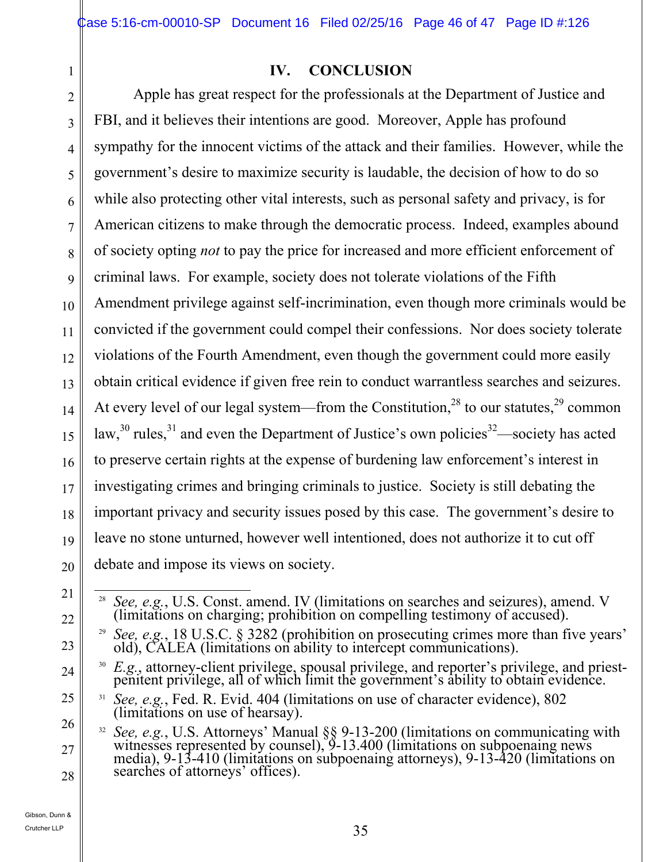### **IV. CONCLUSION**

2 3 4 5 6 7 8 9 10 12 13 14 15 16 17 18 19 20 Apple has great respect for the professionals at the Department of Justice and FBI, and it believes their intentions are good. Moreover, Apple has profound sympathy for the innocent victims of the attack and their families. However, while the government's desire to maximize security is laudable, the decision of how to do so while also protecting other vital interests, such as personal safety and privacy, is for American citizens to make through the democratic process. Indeed, examples abound of society opting *not* to pay the price for increased and more efficient enforcement of criminal laws. For example, society does not tolerate violations of the Fifth Amendment privilege against self-incrimination, even though more criminals would be convicted if the government could compel their confessions. Nor does society tolerate violations of the Fourth Amendment, even though the government could more easily obtain critical evidence if given free rein to conduct warrantless searches and seizures. At every level of our legal system—from the Constitution,  $28$  to our statutes,  $29$  common law,<sup>30</sup> rules,<sup>31</sup> and even the Department of Justice's own policies<sup>32</sup>—society has acted to preserve certain rights at the expense of burdening law enforcement's interest in investigating crimes and bringing criminals to justice. Society is still debating the important privacy and security issues posed by this case. The government's desire to leave no stone unturned, however well intentioned, does not authorize it to cut off debate and impose its views on society.

Gibson, Dunn & Crutcher LLP

1

11

21

22

23

24

 $\overline{a}$ 

<sup>26</sup> 27 28 <sup>28</sup> *See, e.g.*, U.S. Const. amend. IV (limitations on searches and seizures), amend. V (limitations on charging; prohibition on compelling testimony of accused).<br><sup>29</sup> *See, e.g.*, 18 U.S.C. § 3282 (prohibition on prosec